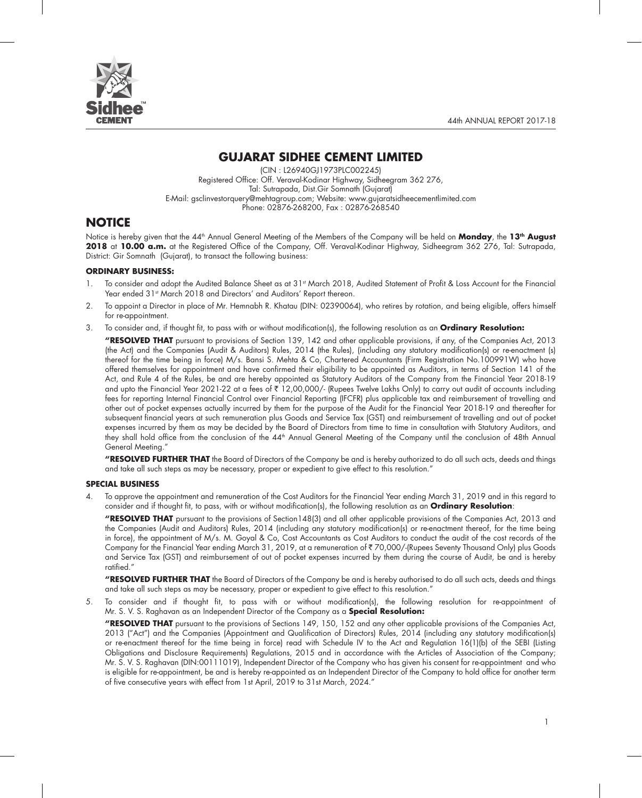



## **GUJARAT SIDHEE CEMENT LIMITED**

(CIN : L26940GJ1973PLC002245) Registered Office: Off. Veraval-Kodinar Highway, Sidheegram 362 276, Tal: Sutrapada, Dist.Gir Somnath (Gujarat) E-Mail: gsclinvestorquery@mehtagroup.com; Website: www.gujaratsidheecementlimited.com Phone: 02876-268200, Fax : 02876-268540

## **NOTICE**

Notice is hereby given that the 44th Annual General Meeting of the Members of the Company will be held on **Monday**, the **13th August 2018** at **10.00 a.m.** at the Registered Office of the Company, Off. Veraval-Kodinar Highway, Sidheegram 362 276, Tal: Sutrapada, District: Gir Somnath (Gujarat), to transact the following business:

#### **ORDINARY BUSINESS:**

- 1. To consider and adopt the Audited Balance Sheet as at 31<sup>st</sup> March 2018, Audited Statement of Profit & Loss Account for the Financial Year ended 31<sup>st</sup> March 2018 and Directors' and Auditors' Report thereon.
- 2. To appoint a Director in place of Mr. Hemnabh R. Khatau (DIN: 02390064), who retires by rotation, and being eligible, offers himself for re-appointment.
- 3. To consider and, if thought fit, to pass with or without modification(s), the following resolution as an **Ordinary Resolution:**
	- **"RESOLVED THAT** pursuant to provisions of Section 139, 142 and other applicable provisions, if any, of the Companies Act, 2013 (the Act) and the Companies (Audit & Auditors) Rules, 2014 (the Rules), (including any statutory modification(s) or re-enactment (s) thereof for the time being in force) M/s. Bansi S. Mehta & Co, Chartered Accountants (Firm Registration No.100991W) who have offered themselves for appointment and have confirmed their eligibility to be appointed as Auditors, in terms of Section 141 of the Act, and Rule 4 of the Rules, be and are hereby appointed as Statutory Auditors of the Company from the Financial Year 2018-19 and upto the Financial Year 2021-22 at a fees of  $\bar{\tau}$  12,00,000/- (Rupees Twelve Lakhs Only) to carry out audit of accounts including fees for reporting Internal Financial Control over Financial Reporting (IFCFR) plus applicable tax and reimbursement of travelling and other out of pocket expenses actually incurred by them for the purpose of the Audit for the Financial Year 2018-19 and thereafter for subsequent financial years at such remuneration plus Goods and Service Tax (GST) and reimbursement of travelling and out of pocket expenses incurred by them as may be decided by the Board of Directors from time to time in consultation with Statutory Auditors, and they shall hold office from the conclusion of the 44<sup>th</sup> Annual General Meeting of the Company until the conclusion of 48th Annual General Meeting."

**"RESOLVED FURTHER THAT** the Board of Directors of the Company be and is hereby authorized to do all such acts, deeds and things and take all such steps as may be necessary, proper or expedient to give effect to this resolution."

#### **SPECIAL BUSINESS**

4. To approve the appointment and remuneration of the Cost Auditors for the Financial Year ending March 31, 2019 and in this regard to consider and if thought fit, to pass, with or without modification(s), the following resolution as an **Ordinary Resolution**:

**"RESOLVED THAT** pursuant to the provisions of Section148(3) and all other applicable provisions of the Companies Act, 2013 and the Companies (Audit and Auditors) Rules, 2014 (including any statutory modification(s) or re-enactment thereof, for the time being in force), the appointment of M/s. M. Goyal & Co, Cost Accountants as Cost Auditors to conduct the audit of the cost records of the Company for the Financial Year ending March 31, 2019, at a remuneration of ` 70,000/-(Rupees Seventy Thousand Only) plus Goods and Service Tax (GST) and reimbursement of out of pocket expenses incurred by them during the course of Audit, be and is hereby ratified."

**"RESOLVED FURTHER THAT** the Board of Directors of the Company be and is hereby authorised to do all such acts, deeds and things and take all such steps as may be necessary, proper or expedient to give effect to this resolution."

5. To consider and if thought fit, to pass with or without modification(s), the following resolution for re-appointment of Mr. S. V. S. Raghavan as an Independent Director of the Company as a **Special Resolution:**

**"RESOLVED THAT** pursuant to the provisions of Sections 149, 150, 152 and any other applicable provisions of the Companies Act, 2013 ("Act") and the Companies (Appointment and Qualification of Directors) Rules, 2014 (including any statutory modification(s) or re-enactment thereof for the time being in force) read with Schedule IV to the Act and Regulation 16(1)(b) of the SEBI (Listing Obligations and Disclosure Requirements) Regulations, 2015 and in accordance with the Articles of Association of the Company; Mr. S. V. S. Raghavan (DIN:00111019), Independent Director of the Company who has given his consent for re-appointment and who is eligible for re-appointment, be and is hereby re-appointed as an Independent Director of the Company to hold office for another term of five consecutive years with effect from 1st April, 2019 to 31st March, 2024."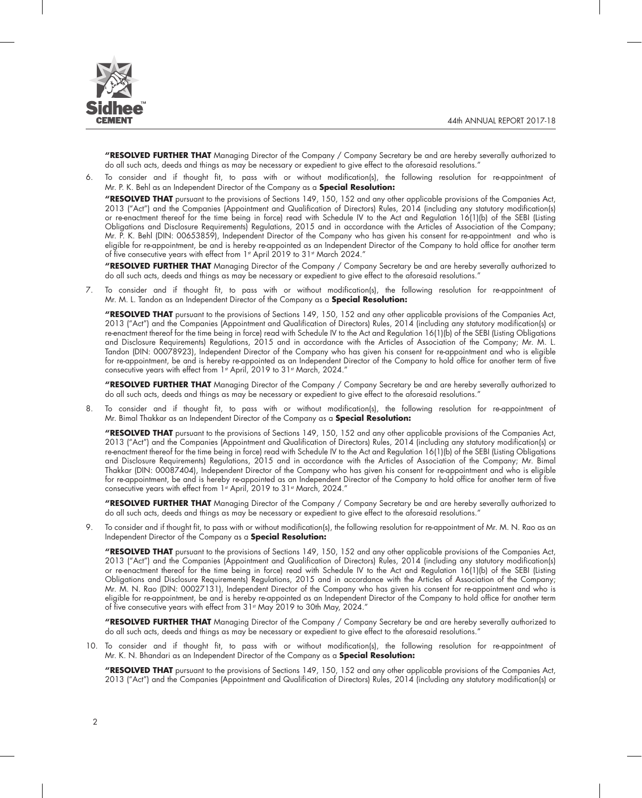

**"RESOLVED FURTHER THAT** Managing Director of the Company / Company Secretary be and are hereby severally authorized to do all such acts, deeds and things as may be necessary or expedient to give effect to the aforesaid resolutions."

6. To consider and if thought fit, to pass with or without modification(s), the following resolution for re-appointment of Mr. P. K. Behl as an Independent Director of the Company as a **Special Resolution:**

**"RESOLVED THAT** pursuant to the provisions of Sections 149, 150, 152 and any other applicable provisions of the Companies Act, 2013 ("Act") and the Companies (Appointment and Qualification of Directors) Rules, 2014 (including any statutory modification(s) or re-enactment thereof for the time being in force) read with Schedule IV to the Act and Regulation 16(1)(b) of the SEBI (Listing Obligations and Disclosure Requirements) Regulations, 2015 and in accordance with the Articles of Association of the Company; Mr. P. K. Behl (DIN: 00653859), Independent Director of the Company who has given his consent for re-appointment and who is eligible for re-appointment, be and is hereby re-appointed as an Independent Director of the Company to hold office for another term of five consecutive years with effect from 1st April 2019 to 31st March 2024."

**"RESOLVED FURTHER THAT** Managing Director of the Company / Company Secretary be and are hereby severally authorized to do all such acts, deeds and things as may be necessary or expedient to give effect to the aforesaid resolutions."

7. To consider and if thought fit, to pass with or without modification(s), the following resolution for re-appointment of Mr. M. L. Tandon as an Independent Director of the Company as a **Special Resolution:**

**"RESOLVED THAT** pursuant to the provisions of Sections 149, 150, 152 and any other applicable provisions of the Companies Act, 2013 ("Act") and the Companies (Appointment and Qualification of Directors) Rules, 2014 (including any statutory modification(s) or re-enactment thereof for the time being in force) read with Schedule IV to the Act and Regulation 16(1)(b) of the SEBI (Listing Obligations and Disclosure Requirements) Regulations, 2015 and in accordance with the Articles of Association of the Company; Mr. M. L. Tandon (DIN: 00078923), Independent Director of the Company who has given his consent for re-appointment and who is eligible for re-appointment, be and is hereby re-appointed as an Independent Director of the Company to hold office for another term of five consecutive years with effect from 1st April, 2019 to 31st March, 2024."

**"RESOLVED FURTHER THAT** Managing Director of the Company / Company Secretary be and are hereby severally authorized to do all such acts, deeds and things as may be necessary or expedient to give effect to the aforesaid resolutions."

8. To consider and if thought fit, to pass with or without modification(s), the following resolution for re-appointment of Mr. Bimal Thakkar as an Independent Director of the Company as a **Special Resolution:**

**"RESOLVED THAT** pursuant to the provisions of Sections 149, 150, 152 and any other applicable provisions of the Companies Act, 2013 ("Act") and the Companies (Appointment and Qualification of Directors) Rules, 2014 (including any statutory modification(s) or re-enactment thereof for the time being in force) read with Schedule IV to the Act and Regulation 16(1)(b) of the SEBI (Listing Obligations and Disclosure Requirements) Regulations, 2015 and in accordance with the Articles of Association of the Company; Mr. Bimal Thakkar (DIN: 00087404), Independent Director of the Company who has given his consent for re-appointment and who is eligible for re-appointment, be and is hereby re-appointed as an Independent Director of the Company to hold office for another term of five consecutive years with effect from 1st April, 2019 to 31st March, 2024."

**"RESOLVED FURTHER THAT** Managing Director of the Company / Company Secretary be and are hereby severally authorized to do all such acts, deeds and things as may be necessary or expedient to give effect to the aforesaid resolutions."

9. To consider and if thought fit, to pass with or without modification(s), the following resolution for re-appointment of Mr. M. N. Rao as an Independent Director of the Company as a **Special Resolution:**

**"RESOLVED THAT** pursuant to the provisions of Sections 149, 150, 152 and any other applicable provisions of the Companies Act, 2013 ("Act") and the Companies (Appointment and Qualification of Directors) Rules, 2014 (including any statutory modification(s) or re-enactment thereof for the time being in force) read with Schedule IV to the Act and Regulation 16(1)(b) of the SEBI (Listing Obligations and Disclosure Requirements) Regulations, 2015 and in accordance with the Articles of Association of the Company; Mr. M. N. Rao (DIN: 00027131), Independent Director of the Company who has given his consent for re-appointment and who is eligible for re-appointment, be and is hereby re-appointed as an Independent Director of the Company to hold office for another term of five consecutive years with effect from 31st May 2019 to 30th May, 2024."

**"RESOLVED FURTHER THAT** Managing Director of the Company / Company Secretary be and are hereby severally authorized to do all such acts, deeds and things as may be necessary or expedient to give effect to the aforesaid resolutions."

10. To consider and if thought fit, to pass with or without modification(s), the following resolution for re-appointment of Mr. K. N. Bhandari as an Independent Director of the Company as a **Special Resolution:**

**"RESOLVED THAT** pursuant to the provisions of Sections 149, 150, 152 and any other applicable provisions of the Companies Act, 2013 ("Act") and the Companies (Appointment and Qualification of Directors) Rules, 2014 (including any statutory modification(s) or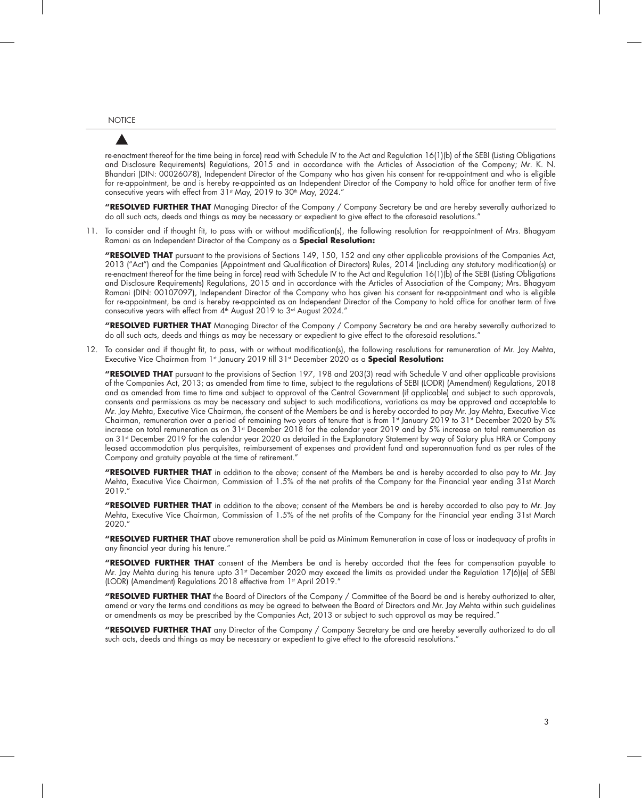re-enactment thereof for the time being in force) read with Schedule IV to the Act and Regulation 16(1)(b) of the SEBI (Listing Obligations and Disclosure Requirements) Regulations, 2015 and in accordance with the Articles of Association of the Company; Mr. K. N. Bhandari (DIN: 00026078), Independent Director of the Company who has given his consent for re-appointment and who is eligible for re-appointment, be and is hereby re-appointed as an Independent Director of the Company to hold office for another term of five consecutive years with effect from  $31<sup>st</sup>$  May, 2019 to  $30<sup>th</sup>$  May, 2024."

**"RESOLVED FURTHER THAT** Managing Director of the Company / Company Secretary be and are hereby severally authorized to do all such acts, deeds and things as may be necessary or expedient to give effect to the aforesaid resolutions."

11. To consider and if thought fit, to pass with or without modification(s), the following resolution for re-appointment of Mrs. Bhagyam Ramani as an Independent Director of the Company as a **Special Resolution:**

**"RESOLVED THAT** pursuant to the provisions of Sections 149, 150, 152 and any other applicable provisions of the Companies Act, 2013 ("Act") and the Companies (Appointment and Qualification of Directors) Rules, 2014 (including any statutory modification(s) or re-enactment thereof for the time being in force) read with Schedule IV to the Act and Regulation 16(1)(b) of the SEBI (Listing Obligations and Disclosure Requirements) Regulations, 2015 and in accordance with the Articles of Association of the Company; Mrs. Bhagyam Ramani (DIN: 00107097), Independent Director of the Company who has given his consent for re-appointment and who is eligible for re-appointment, be and is hereby re-appointed as an Independent Director of the Company to hold office for another term of five consecutive years with effect from 4<sup>th</sup> August 2019 to 3<sup>rd</sup> August 2024."

**"RESOLVED FURTHER THAT** Managing Director of the Company / Company Secretary be and are hereby severally authorized to do all such acts, deeds and things as may be necessary or expedient to give effect to the aforesaid resolutions."

12. To consider and if thought fit, to pass, with or without modification(s), the following resolutions for remuneration of Mr. Jay Mehta, Executive Vice Chairman from 1<sup>st</sup> January 2019 till 31<sup>st</sup> December 2020 as a **Special Resolution:** 

**"RESOLVED THAT** pursuant to the provisions of Section 197, 198 and 203(3) read with Schedule V and other applicable provisions of the Companies Act, 2013; as amended from time to time, subject to the regulations of SEBI (LODR) (Amendment) Regulations, 2018 and as amended from time to time and subject to approval of the Central Government (if applicable) and subject to such approvals, consents and permissions as may be necessary and subject to such modifications, variations as may be approved and acceptable to Mr. Jay Mehta, Executive Vice Chairman, the consent of the Members be and is hereby accorded to pay Mr. Jay Mehta, Executive Vice Chairman, remuneration over a period of remaining two years of tenure that is from 1st January 2019 to 31st December 2020 by 5% increase on total remuneration as on 31st December 2018 for the calendar year 2019 and by 5% increase on total remuneration as on 31st December 2019 for the calendar year 2020 as detailed in the Explanatory Statement by way of Salary plus HRA or Company leased accommodation plus perquisites, reimbursement of expenses and provident fund and superannuation fund as per rules of the Company and gratuity payable at the time of retirement."

**"RESOLVED FURTHER THAT** in addition to the above; consent of the Members be and is hereby accorded to also pay to Mr. Jay Mehta, Executive Vice Chairman, Commission of 1.5% of the net profits of the Company for the Financial year ending 31st March 2019."

**"RESOLVED FURTHER THAT** in addition to the above; consent of the Members be and is hereby accorded to also pay to Mr. Jay Mehta, Executive Vice Chairman, Commission of 1.5% of the net profits of the Company for the Financial year ending 31st March 2020."

**"RESOLVED FURTHER THAT** above remuneration shall be paid as Minimum Remuneration in case of loss or inadequacy of profits in any financial year during his tenure."

**"RESOLVED FURTHER THAT** consent of the Members be and is hereby accorded that the fees for compensation payable to Mr. Jay Mehta during his tenure upto  $31$ <sup>st</sup> December 2020 may exceed the limits as provided under the Regulation  $17(6)(e)$  of SEBI (LODR) (Amendment) Regulations 2018 effective from 1st April 2019."

**"RESOLVED FURTHER THAT** the Board of Directors of the Company / Committee of the Board be and is hereby authorized to alter, amend or vary the terms and conditions as may be agreed to between the Board of Directors and Mr. Jay Mehta within such guidelines or amendments as may be prescribed by the Companies Act, 2013 or subject to such approval as may be required."

**"RESOLVED FURTHER THAT** any Director of the Company / Company Secretary be and are hereby severally authorized to do all such acts, deeds and things as may be necessary or expedient to give effect to the aforesaid resolutions."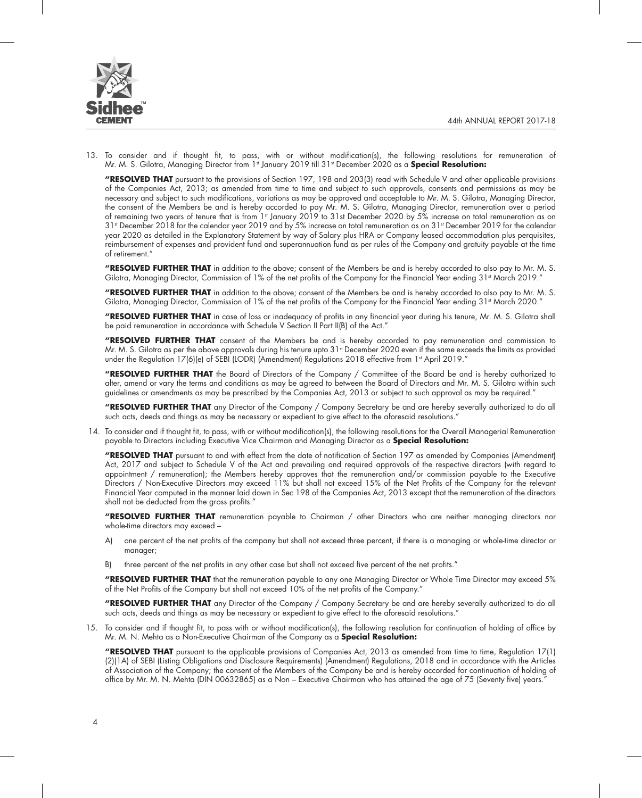

13. To consider and if thought fit, to pass, with or without modification(s), the following resolutions for remuneration of Mr. M. S. Gilotra, Managing Director from 1<sup>st</sup> January 2019 till 31<sup>st</sup> December 2020 as a **Special Resolution:** 

**"RESOLVED THAT** pursuant to the provisions of Section 197, 198 and 203(3) read with Schedule V and other applicable provisions of the Companies Act, 2013; as amended from time to time and subject to such approvals, consents and permissions as may be necessary and subject to such modifications, variations as may be approved and acceptable to Mr. M. S. Gilotra, Managing Director, the consent of the Members be and is hereby accorded to pay Mr. M. S. Gilotra, Managing Director, remuneration over a period of remaining two years of tenure that is from 1st January 2019 to 31st December 2020 by 5% increase on total remuneration as on 31st December 2018 for the calendar year 2019 and by 5% increase on total remuneration as on 31st December 2019 for the calendar year 2020 as detailed in the Explanatory Statement by way of Salary plus HRA or Company leased accommodation plus perquisites, reimbursement of expenses and provident fund and superannuation fund as per rules of the Company and gratuity payable at the time of retirement."

**"RESOLVED FURTHER THAT** in addition to the above; consent of the Members be and is hereby accorded to also pay to Mr. M. S. Gilotra, Managing Director, Commission of 1% of the net profits of the Company for the Financial Year ending 31<sup>st</sup> March 2019."

**"RESOLVED FURTHER THAT** in addition to the above; consent of the Members be and is hereby accorded to also pay to Mr. M. S. Gilotra, Managing Director, Commission of 1% of the net profits of the Company for the Financial Year ending 31<sup>st</sup> March 2020."

**"RESOLVED FURTHER THAT** in case of loss or inadequacy of profits in any financial year during his tenure, Mr. M. S. Gilotra shall be paid remuneration in accordance with Schedule V Section II Part II(B) of the Act."

**"RESOLVED FURTHER THAT** consent of the Members be and is hereby accorded to pay remuneration and commission to Mr. M. S. Gilotra as per the above approvals during his tenure upto  $31$ <sup>\*</sup> December 2020 even if the same exceeds the limits as provided under the Regulation 17(6)(e) of SEBI (LODR) (Amendment) Regulations 2018 effective from 1st April 2019."

**"RESOLVED FURTHER THAT** the Board of Directors of the Company / Committee of the Board be and is hereby authorized to alter, amend or vary the terms and conditions as may be agreed to between the Board of Directors and Mr. M. S. Gilotra within such guidelines or amendments as may be prescribed by the Companies Act, 2013 or subject to such approval as may be required."

**"RESOLVED FURTHER THAT** any Director of the Company / Company Secretary be and are hereby severally authorized to do all such acts, deeds and things as may be necessary or expedient to give effect to the aforesaid resolutions."

 14. To consider and if thought fit, to pass, with or without modification(s), the following resolutions for the Overall Managerial Remuneration payable to Directors including Executive Vice Chairman and Managing Director as a **Special Resolution:**

**"RESOLVED THAT** pursuant to and with effect from the date of notification of Section 197 as amended by Companies (Amendment) Act, 2017 and subject to Schedule V of the Act and prevailing and required approvals of the respective directors (with regard to appointment / remuneration); the Members hereby approves that the remuneration and/or commission payable to the Executive Directors / Non-Executive Directors may exceed 11% but shall not exceed 15% of the Net Profits of the Company for the relevant Financial Year computed in the manner laid down in Sec 198 of the Companies Act, 2013 except that the remuneration of the directors shall not be deducted from the gross profits."

**"RESOLVED FURTHER THAT** remuneration payable to Chairman / other Directors who are neither managing directors nor whole-time directors may exceed –

- A) one percent of the net profits of the company but shall not exceed three percent, if there is a managing or whole-time director or manager;
- B) three percent of the net profits in any other case but shall not exceed five percent of the net profits."

**"RESOLVED FURTHER THAT** that the remuneration payable to any one Managing Director or Whole Time Director may exceed 5% of the Net Profits of the Company but shall not exceed 10% of the net profits of the Company."

**"RESOLVED FURTHER THAT** any Director of the Company / Company Secretary be and are hereby severally authorized to do all such acts, deeds and things as may be necessary or expedient to give effect to the aforesaid resolutions."

15. To consider and if thought fit, to pass with or without modification(s), the following resolution for continuation of holding of office by Mr. M. N. Mehta as a Non-Executive Chairman of the Company as a **Special Resolution:**

**"RESOLVED THAT** pursuant to the applicable provisions of Companies Act, 2013 as amended from time to time, Regulation 17(1) (2)(1A) of SEBI (Listing Obligations and Disclosure Requirements) (Amendment) Regulations, 2018 and in accordance with the Articles of Association of the Company; the consent of the Members of the Company be and is hereby accorded for continuation of holding of office by Mr. M. N. Mehta (DIN 00632865) as a Non – Executive Chairman who has attained the age of 75 (Seventy five) years."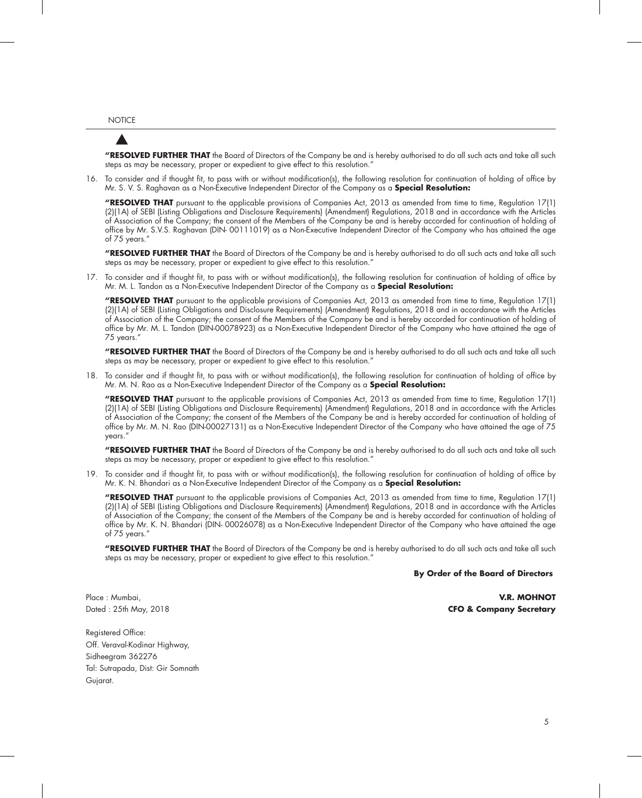**"RESOLVED FURTHER THAT** the Board of Directors of the Company be and is hereby authorised to do all such acts and take all such steps as may be necessary, proper or expedient to give effect to this resolution."

16. To consider and if thought fit, to pass with or without modification(s), the following resolution for continuation of holding of office by Mr. S. V. S. Raghavan as a Non-Executive Independent Director of the Company as a **Special Resolution:**

**"RESOLVED THAT** pursuant to the applicable provisions of Companies Act, 2013 as amended from time to time, Regulation 17(1) (2)(1A) of SEBI (Listing Obligations and Disclosure Requirements) (Amendment) Regulations, 2018 and in accordance with the Articles of Association of the Company; the consent of the Members of the Company be and is hereby accorded for continuation of holding of office by Mr. S.V.S. Raghavan (DIN- 00111019) as a Non-Executive Independent Director of the Company who has attained the age of 75 years."

**"RESOLVED FURTHER THAT** the Board of Directors of the Company be and is hereby authorised to do all such acts and take all such steps as may be necessary, proper or expedient to give effect to this resolution."

17. To consider and if thought fit, to pass with or without modification(s), the following resolution for continuation of holding of office by Mr. M. L. Tandon as a Non-Executive Independent Director of the Company as a **Special Resolution:**

**"RESOLVED THAT** pursuant to the applicable provisions of Companies Act, 2013 as amended from time to time, Regulation 17(1) (2)(1A) of SEBI (Listing Obligations and Disclosure Requirements) (Amendment) Regulations, 2018 and in accordance with the Articles of Association of the Company; the consent of the Members of the Company be and is hereby accorded for continuation of holding of office by Mr. M. L. Tandon (DIN-00078923) as a Non-Executive Independent Director of the Company who have attained the age of 75 years."

**"RESOLVED FURTHER THAT** the Board of Directors of the Company be and is hereby authorised to do all such acts and take all such steps as may be necessary, proper or expedient to give effect to this resolution."

18. To consider and if thought fit, to pass with or without modification(s), the following resolution for continuation of holding of office by Mr. M. N. Rao as a Non-Executive Independent Director of the Company as a **Special Resolution:**

**"RESOLVED THAT** pursuant to the applicable provisions of Companies Act, 2013 as amended from time to time, Regulation 17(1) (2)(1A) of SEBI (Listing Obligations and Disclosure Requirements) (Amendment) Regulations, 2018 and in accordance with the Articles of Association of the Company; the consent of the Members of the Company be and is hereby accorded for continuation of holding of office by Mr. M. N. Rao (DIN-00027131) as a Non-Executive Independent Director of the Company who have attained the age of 75 years."

**"RESOLVED FURTHER THAT** the Board of Directors of the Company be and is hereby authorised to do all such acts and take all such steps as may be necessary, proper or expedient to give effect to this resolution."

19. To consider and if thought fit, to pass with or without modification(s), the following resolution for continuation of holding of office by Mr. K. N. Bhandari as a Non-Executive Independent Director of the Company as a **Special Resolution:**

**"RESOLVED THAT** pursuant to the applicable provisions of Companies Act, 2013 as amended from time to time, Regulation 17(1) (2)(1A) of SEBI (Listing Obligations and Disclosure Requirements) (Amendment) Regulations, 2018 and in accordance with the Articles of Association of the Company; the consent of the Members of the Company be and is hereby accorded for continuation of holding of office by Mr. K. N. Bhandari (DIN- 00026078) as a Non-Executive Independent Director of the Company who have attained the age of 75 years."

**"RESOLVED FURTHER THAT** the Board of Directors of the Company be and is hereby authorised to do all such acts and take all such steps as may be necessary, proper or expedient to give effect to this resolution."

#### **By Order of the Board of Directors**

Place : Mumbai, **V.R. MOHNOT** Dated : 25th May, 2018 **CFO & Company Secretary**

Registered Office: Off. Veraval-Kodinar Highway, Sidheegram 362276 Tal: Sutrapada, Dist: Gir Somnath Gujarat.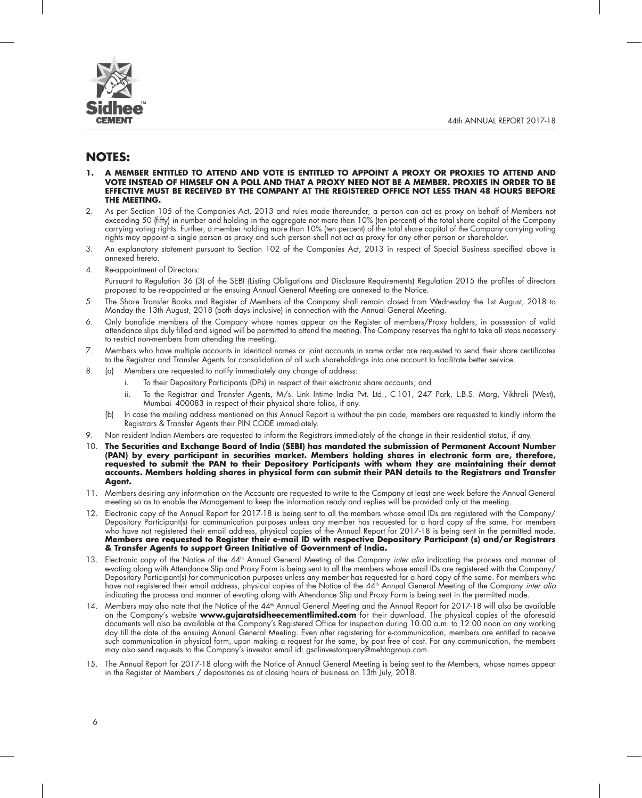

## **NOTES:**

- **1. A MEMBER ENTITLED TO ATTEND AND VOTE IS ENTITLED TO APPOINT A PROXY OR PROXIES TO ATTEND AND VOTE INSTEAD OF HIMSELF ON A POLL AND THAT A PROXY NEED NOT BE A MEMBER. PROXIES IN ORDER TO BE EFFECTIVE MUST BE RECEIVED BY THE COMPANY AT THE REGISTERED OFFICE NOT LESS THAN 48 HOURS BEFORE THE MEETING.**
- 2. As per Section 105 of the Companies Act, 2013 and rules made thereunder, a person can act as proxy on behalf of Members not exceeding 50 (fifty) in number and holding in the aggregate not more than 10% (ten percent) of the total share capital of the Company carrying voting rights. Further, a member holding more than 10% (ten percent) of the total share capital of the Company carrying voting rights may appoint a single person as proxy and such person shall not act as proxy for any other person or shareholder.
- 3. An explanatory statement pursuant to Section 102 of the Companies Act, 2013 in respect of Special Business specified above is annexed hereto.
- 4. Re-appointment of Directors:

Pursuant to Regulation 36 (3) of the SEBI (Listing Obligations and Disclosure Requirements) Regulation 2015 the profiles of directors proposed to be re-appointed at the ensuing Annual General Meeting are annexed to the Notice.

- 5. The Share Transfer Books and Register of Members of the Company shall remain closed from Wednesday the 1st August, 2018 to Monday the 13th August, 2018 (both days inclusive) in connection with the Annual General Meeting.
- 6. Only bonafide members of the Company whose names appear on the Register of members/Proxy holders, in possession of valid attendance slips duly filled and signed will be permitted to attend the meeting. The Company reserves the right to take all steps necessary to restrict non-members from attending the meeting.
- 7. Members who have multiple accounts in identical names or joint accounts in same order are requested to send their share certificates to the Registrar and Transfer Agents for consolidation of all such shareholdings into one account to facilitate better service.
- 8. (a) Members are requested to notify immediately any change of address:
	- i. To their Depository Participants (DPs) in respect of their electronic share accounts; and
	- ii. To the Registrar and Transfer Agents, M/s. Link Intime India Pvt. Ltd., C-101, 247 Park, L.B.S. Marg, Vikhroli (West), Mumbai- 400083 in respect of their physical share folios, if any.
	- (b) In case the mailing address mentioned on this Annual Report is without the pin code, members are requested to kindly inform the Registrars & Transfer Agents their PIN CODE immediately.
- 9. Non-resident Indian Members are requested to inform the Registrars immediately of the change in their residential status, if any.
- 10. **The Securities and Exchange Board of India (SEBI) has mandated the submission of Permanent Account Number (PAN) by every participant in securities market. Members holding shares in electronic form are, therefore, requested to submit the PAN to their Depository Participants with whom they are maintaining their demat accounts. Members holding shares in physical form can submit their PAN details to the Registrars and Transfer Agent.**
- 11. Members desiring any information on the Accounts are requested to write to the Company at least one week before the Annual General meeting so as to enable the Management to keep the information ready and replies will be provided only at the meeting.
- 12. Electronic copy of the Annual Report for 2017-18 is being sent to all the members whose email IDs are registered with the Company/ Depository Participant(s) for communication purposes unless any member has requested for a hard copy of the same. For members who have not registered their email address, physical copies of the Annual Report for 2017-18 is being sent in the permitted mode. **Members are requested to Register their e-mail ID with respective Depository Participant (s) and/or Registrars & Transfer Agents to support Green Initiative of Government of India.**
- 13. Electronic copy of the Notice of the 44<sup>th</sup> Annual General Meeting of the Company *inter alia* indicating the process and manner of e-voting along with Attendance Slip and Proxy Form is being sent to all the members whose email IDs are registered with the Company/ Depository Participant(s) for communication purposes unless any member has requested for a hard copy of the same. For members who have not registered their email address, physical copies of the Notice of the 44<sup>th</sup> Annual General Meeting of the Company inter alia indicating the process and manner of e-voting along with Attendance Slip and Proxy Form is being sent in the permitted mode.
- 14. Members may also note that the Notice of the 44<sup>th</sup> Annual General Meeting and the Annual Report for 2017-18 will also be available on the Company's website **www.gujaratsidheecementlimited.com** for their download. The physical copies of the aforesaid documents will also be available at the Company's Registered Office for inspection during 10.00 a.m. to 12.00 noon on any working day till the date of the ensuing Annual General Meeting. Even after registering for e-communication, members are entitled to receive such communication in physical form, upon making a request for the same, by post free of cost. For any communication, the members may also send requests to the Company's investor email id: gsclinvestorquery@mehtagroup.com.
- 15. The Annual Report for 2017-18 along with the Notice of Annual General Meeting is being sent to the Members, whose names appear in the Register of Members / depositories as at closing hours of business on 13th July, 2018.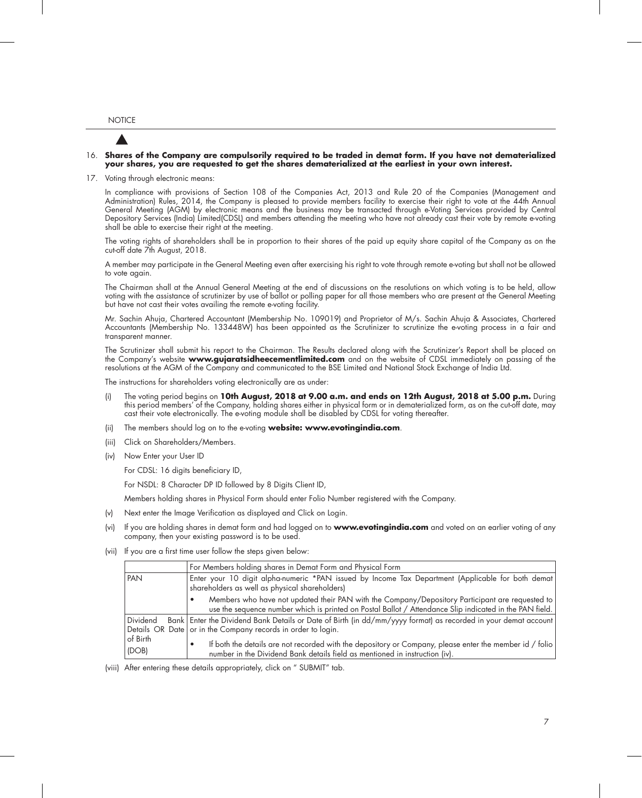#### 16. **Shares of the Company are compulsorily required to be traded in demat form. If you have not dematerialized your shares, you are requested to get the shares dematerialized at the earliest in your own interest.**

17. Voting through electronic means:

In compliance with provisions of Section 108 of the Companies Act, 2013 and Rule 20 of the Companies (Management and Administration) Rules, 2014, the Company is pleased to provide members facility to exercise their right to vote at the 44th Annual General Meeting (AGM) by electronic means and the business may be transacted through e-Voting Services provided by Central Depository Services (India) Limited(CDSL) and members attending the meeting who have not already cast their vote by remote e-voting shall be able to exercise their right at the meeting.

The voting rights of shareholders shall be in proportion to their shares of the paid up equity share capital of the Company as on the cut-off date 7th August, 2018.

A member may participate in the General Meeting even after exercising his right to vote through remote e-voting but shall not be allowed to vote again.

The Chairman shall at the Annual General Meeting at the end of discussions on the resolutions on which voting is to be held, allow voting with the assistance of scrutinizer by use of ballot or polling paper for all those members who are present at the General Meeting but have not cast their votes availing the remote e-voting facility.

Mr. Sachin Ahuja, Chartered Accountant (Membership No. 109019) and Proprietor of M/s. Sachin Ahuja & Associates, Chartered Accountants (Membership No. 133448W) has been appointed as the Scrutinizer to scrutinize the e-voting process in a fair and transparent manner.

The Scrutinizer shall submit his report to the Chairman. The Results declared along with the Scrutinizer's Report shall be placed on the Company's website **www.gujaratsidheecementlimited.com** and on the website of CDSL immediately on passing of the resolutions at the AGM of the Company and communicated to the BSE Limited and National Stock Exchange of India Ltd.

The instructions for shareholders voting electronically are as under:

- (i) The voting period begins on **10th August, 2018 at 9.00 a.m. and ends on 12th August, 2018 at 5.00 p.m.** During this period members' of the Company, holding shares either in physical form or in dematerialized form, as on the cut-off date, may cast their vote electronically. The e-voting module shall be disabled by CDSL for voting thereafter.
- (ii) The members should log on to the e-voting **website: www.evotingindia.com**.
- (iii) Click on Shareholders/Members.
- (iv) Now Enter your User ID

For CDSL: 16 digits beneficiary ID,

For NSDL: 8 Character DP ID followed by 8 Digits Client ID,

Members holding shares in Physical Form should enter Folio Number registered with the Company.

- (v) Next enter the Image Verification as displayed and Click on Login.
- (vi) If you are holding shares in demat form and had logged on to **www.evotingindia.com** and voted on an earlier voting of any company, then your existing password is to be used.
- (vii) If you are a first time user follow the steps given below:

|                   | For Members holding shares in Demat Form and Physical Form                                                                                                                                                 |
|-------------------|------------------------------------------------------------------------------------------------------------------------------------------------------------------------------------------------------------|
| PAN               | Enter your 10 digit alpha-numeric *PAN issued by Income Tax Department (Applicable for both demat)<br>shareholders as well as physical shareholders)                                                       |
|                   | Members who have not updated their PAN with the Company/Depository Participant are requested to<br>use the sequence number which is printed on Postal Ballot / Attendance Slip indicated in the PAN field. |
| Dividend          | Bank   Enter the Dividend Bank Details or Date of Birth (in dd/mm/yyyy format) as recorded in your demat account<br>Details OR Date or in the Company records in order to login.                           |
| of Birth<br>(DOB) | If both the details are not recorded with the depository or Company, please enter the member id / folio<br>number in the Dividend Bank details field as mentioned in instruction (iv).                     |

(viii) After entering these details appropriately, click on " SUBMIT" tab.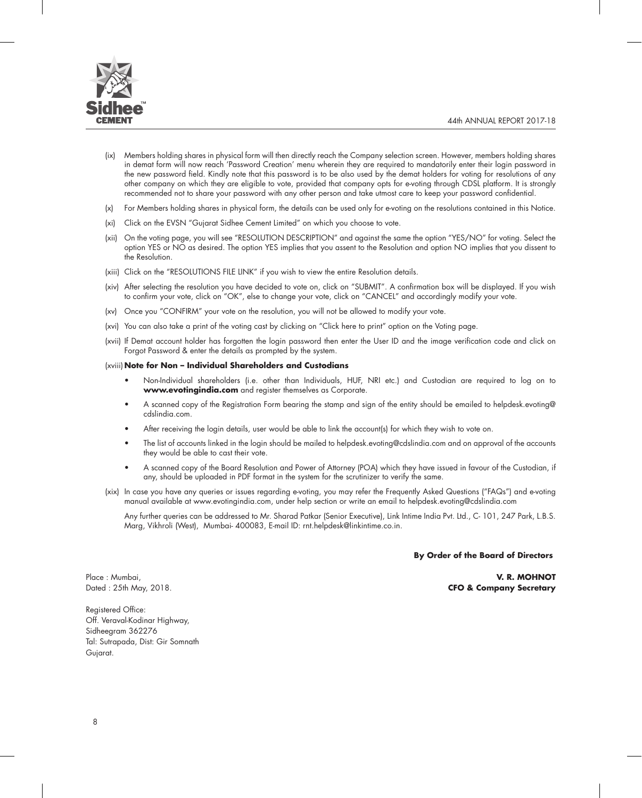

- (ix) Members holding shares in physical form will then directly reach the Company selection screen. However, members holding shares in demat form will now reach 'Password Creation' menu wherein they are required to mandatorily enter their login password in the new password field. Kindly note that this password is to be also used by the demat holders for voting for resolutions of any other company on which they are eligible to vote, provided that company opts for e-voting through CDSL platform. It is strongly recommended not to share your password with any other person and take utmost care to keep your password confidential.
- (x) For Members holding shares in physical form, the details can be used only for e-voting on the resolutions contained in this Notice.
- (xi) Click on the EVSN "Gujarat Sidhee Cement Limited" on which you choose to vote.
- (xii) On the voting page, you will see "RESOLUTION DESCRIPTION" and against the same the option "YES/NO" for voting. Select the option YES or NO as desired. The option YES implies that you assent to the Resolution and option NO implies that you dissent to the Resolution.
- (xiii) Click on the "RESOLUTIONS FILE LINK" if you wish to view the entire Resolution details.
- (xiv) After selecting the resolution you have decided to vote on, click on "SUBMIT". A confirmation box will be displayed. If you wish to confirm your vote, click on "OK", else to change your vote, click on "CANCEL" and accordingly modify your vote.
- (xv) Once you "CONFIRM" your vote on the resolution, you will not be allowed to modify your vote.
- (xvi) You can also take a print of the voting cast by clicking on "Click here to print" option on the Voting page.
- (xvii) If Demat account holder has forgotten the login password then enter the User ID and the image verification code and click on Forgot Password & enter the details as prompted by the system.

#### (xviii) **Note for Non – Individual Shareholders and Custodians**

- Non-Individual shareholders (i.e. other than Individuals, HUF, NRI etc.) and Custodian are required to log on to **www.evotingindia.com** and register themselves as Corporate.
- • A scanned copy of the Registration Form bearing the stamp and sign of the entity should be emailed to helpdesk.evoting@ cdslindia.com.
- After receiving the login details, user would be able to link the account(s) for which they wish to vote on.
- The list of accounts linked in the login should be mailed to helpdesk.evoting@cdslindia.com and on approval of the accounts they would be able to cast their vote.
- • A scanned copy of the Board Resolution and Power of Attorney (POA) which they have issued in favour of the Custodian, if any, should be uploaded in PDF format in the system for the scrutinizer to verify the same.
- (xix) In case you have any queries or issues regarding e-voting, you may refer the Frequently Asked Questions ("FAQs") and e-voting manual available at www.evotingindia.com, under help section or write an email to helpdesk.evoting@cdslindia.com

 Any further queries can be addressed to Mr. Sharad Patkar (Senior Executive), Link Intime India Pvt. Ltd., C- 101, 247 Park, L.B.S. Marg, Vikhroli (West), Mumbai- 400083, E-mail ID: rnt.helpdesk@linkintime.co.in.

#### **By Order of the Board of Directors**

Place : Mumbai, **V. R. MOHNOT** Dated : 25th May, 2018. **CFO & Company Secretary**

Registered Office: Off. Veraval-Kodinar Highway, Sidheegram 362276 Tal: Sutrapada, Dist: Gir Somnath Gujarat.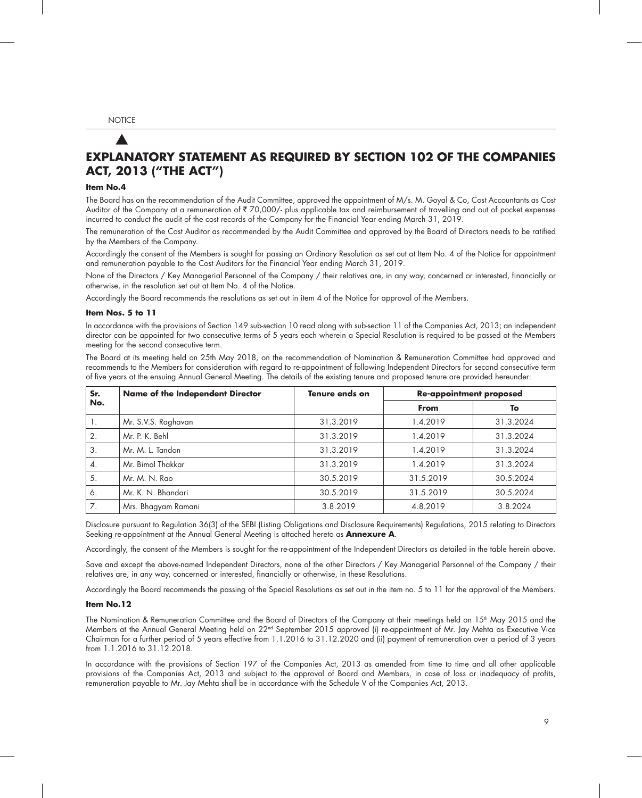## **EXPLANATORY STATEMENT AS REQUIRED BY SECTION 102 OF THE COMPANIES ACT, 2013 ("THE ACT")**

#### **Item No.4**

The Board has on the recommendation of the Audit Committee, approved the appointment of M/s. M. Goyal & Co, Cost Accountants as Cost Auditor of the Company at a remuneration of  $\bar{\tau}$  70,000/- plus applicable tax and reimbursement of travelling and out of pocket expenses incurred to conduct the audit of the cost records of the Company for the Financial Year ending March 31, 2019.

The remuneration of the Cost Auditor as recommended by the Audit Committee and approved by the Board of Directors needs to be ratified by the Members of the Company.

Accordingly the consent of the Members is sought for passing an Ordinary Resolution as set out at Item No. 4 of the Notice for appointment and remuneration payable to the Cost Auditors for the Financial Year ending March 31, 2019.

None of the Directors / Key Managerial Personnel of the Company / their relatives are, in any way, concerned or interested, financially or otherwise, in the resolution set out at Item No. 4 of the Notice.

Accordingly the Board recommends the resolutions as set out in item 4 of the Notice for approval of the Members.

#### **Item Nos. 5 to 11**

In accordance with the provisions of Section 149 sub-section 10 read along with sub-section 11 of the Companies Act, 2013; an independent director can be appointed for two consecutive terms of 5 years each wherein a Special Resolution is required to be passed at the Members meeting for the second consecutive term.

The Board at its meeting held on 25th May 2018, on the recommendation of Nomination & Remuneration Committee had approved and recommends to the Members for consideration with regard to re-appointment of following Independent Directors for second consecutive term of five years at the ensuing Annual General Meeting. The details of the existing tenure and proposed tenure are provided hereunder:

| Sr. | Name of the Independent Director | Tenure ends on | <b>Re-appointment proposed</b> |           |  |
|-----|----------------------------------|----------------|--------------------------------|-----------|--|
| No. |                                  |                | From                           | To        |  |
| Ι.  | Mr. S.V.S. Raghavan              | 31.3.2019      | 1.4.2019                       | 31.3.2024 |  |
| 2.  | Mr. P. K. Behl                   | 31.3.2019      | 1.4.2019                       | 31.3.2024 |  |
| 3.  | Mr. M. L. Tandon                 | 31.3.2019      | 1.4.2019                       | 31.3.2024 |  |
| 4.  | Mr. Bimal Thakkar                | 31.3.2019      | 1.4.2019                       | 31.3.2024 |  |
| 5.  | Mr. M. N. Rao                    | 30.5.2019      | 31.5.2019                      | 30.5.2024 |  |
| 6.  | Mr. K. N. Bhandari               | 30.5.2019      | 31.5.2019                      | 30.5.2024 |  |
| 7.  | Mrs. Bhagyam Ramani              | 3.8.2019       | 4.8.2019                       | 3.8.2024  |  |

Disclosure pursuant to Regulation 36(3) of the SEBI (Listing Obligations and Disclosure Requirements) Regulations, 2015 relating to Directors Seeking re-appointment at the Annual General Meeting is attached hereto as **Annexure A**.

Accordingly, the consent of the Members is sought for the re-appointment of the Independent Directors as detailed in the table herein above.

Save and except the above-named Independent Directors, none of the other Directors / Key Managerial Personnel of the Company / their relatives are, in any way, concerned or interested, financially or otherwise, in these Resolutions.

Accordingly the Board recommends the passing of the Special Resolutions as set out in the item no. 5 to 11 for the approval of the Members.

#### **Item No.12**

The Nomination & Remuneration Committee and the Board of Directors of the Company at their meetings held on  $15<sup>th</sup>$  May 2015 and the Members at the Annual General Meeting held on 22nd September 2015 approved (i) re-appointment of Mr. Jay Mehta as Executive Vice Chairman for a further period of 5 years effective from 1.1.2016 to 31.12.2020 and (ii) payment of remuneration over a period of 3 years from 1.1.2016 to 31.12.2018.

In accordance with the provisions of Section 197 of the Companies Act, 2013 as amended from time to time and all other applicable provisions of the Companies Act, 2013 and subject to the approval of Board and Members, in case of loss or inadequacy of profits, remuneration payable to Mr. Jay Mehta shall be in accordance with the Schedule V of the Companies Act, 2013.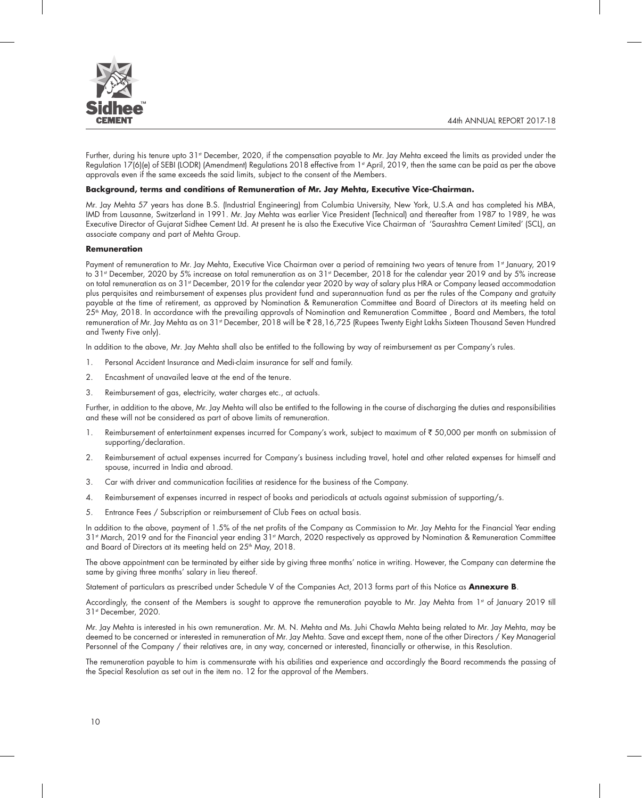

Further, during his tenure upto 31<sup>st</sup> December, 2020, if the compensation payable to Mr. Jay Mehta exceed the limits as provided under the Regulation 17(6)(e) of SEBI (LODR) (Amendment) Regulations 2018 effective from 1<sup>st</sup> April, 2019, then the same can be paid as per the above approvals even if the same exceeds the said limits, subject to the consent of the Members.

#### **Background, terms and conditions of Remuneration of Mr. Jay Mehta, Executive Vice-Chairman.**

Mr. Jay Mehta 57 years has done B.S. (Industrial Engineering) from Columbia University, New York, U.S.A and has completed his MBA, IMD from Lausanne, Switzerland in 1991. Mr. Jay Mehta was earlier Vice President (Technical) and thereafter from 1987 to 1989, he was Executive Director of Gujarat Sidhee Cement Ltd. At present he is also the Executive Vice Chairman of 'Saurashtra Cement Limited' (SCL), an associate company and part of Mehta Group.

#### **Remuneration**

Payment of remuneration to Mr. Jay Mehta, Executive Vice Chairman over a period of remaining two years of tenure from 1st January, 2019 to 31st December, 2020 by 5% increase on total remuneration as on 31st December, 2018 for the calendar year 2019 and by 5% increase on total remuneration as on 31<sup>st</sup> December, 2019 for the calendar year 2020 by way of salary plus HRA or Company leased accommodation plus perquisites and reimbursement of expenses plus provident fund and superannuation fund as per the rules of the Company and gratuity payable at the time of retirement, as approved by Nomination & Remuneration Committee and Board of Directors at its meeting held on 25<sup>th</sup> May, 2018. In accordance with the prevailing approvals of Nomination and Remuneration Committee, Board and Members, the total remuneration of Mr. Jay Mehta as on 31st December, 2018 will be ₹ 28,16,725 (Rupees Twenty Eight Lakhs Sixteen Thousand Seven Hundred and Twenty Five only).

In addition to the above, Mr. Jay Mehta shall also be entitled to the following by way of reimbursement as per Company's rules.

- 1. Personal Accident Insurance and Medi-claim insurance for self and family.
- 2. Encashment of unavailed leave at the end of the tenure.
- 3. Reimbursement of gas, electricity, water charges etc., at actuals.

Further, in addition to the above, Mr. Jay Mehta will also be entitled to the following in the course of discharging the duties and responsibilities and these will not be considered as part of above limits of remuneration.

- 1. Reimbursement of entertainment expenses incurred for Company's work, subject to maximum of ₹ 50,000 per month on submission of supporting/declaration.
- 2. Reimbursement of actual expenses incurred for Company's business including travel, hotel and other related expenses for himself and spouse, incurred in India and abroad.
- 3. Car with driver and communication facilities at residence for the business of the Company.
- 4. Reimbursement of expenses incurred in respect of books and periodicals at actuals against submission of supporting/s.
- 5. Entrance Fees / Subscription or reimbursement of Club Fees on actual basis.

In addition to the above, payment of 1.5% of the net profits of the Company as Commission to Mr. Jay Mehta for the Financial Year ending 31<sup>st</sup> March, 2019 and for the Financial year ending 31<sup>st</sup> March, 2020 respectively as approved by Nomination & Remuneration Committee and Board of Directors at its meeting held on 25<sup>th</sup> May, 2018.

The above appointment can be terminated by either side by giving three months' notice in writing. However, the Company can determine the same by giving three months' salary in lieu thereof.

Statement of particulars as prescribed under Schedule V of the Companies Act, 2013 forms part of this Notice as **Annexure B**.

Accordingly, the consent of the Members is sought to approve the remuneration payable to Mr. Jay Mehta from 1st of January 2019 till 31st December, 2020.

Mr. Jay Mehta is interested in his own remuneration. Mr. M. N. Mehta and Ms. Juhi Chawla Mehta being related to Mr. Jay Mehta, may be deemed to be concerned or interested in remuneration of Mr. Jay Mehta. Save and except them, none of the other Directors / Key Managerial Personnel of the Company / their relatives are, in any way, concerned or interested, financially or otherwise, in this Resolution.

The remuneration payable to him is commensurate with his abilities and experience and accordingly the Board recommends the passing of the Special Resolution as set out in the item no. 12 for the approval of the Members.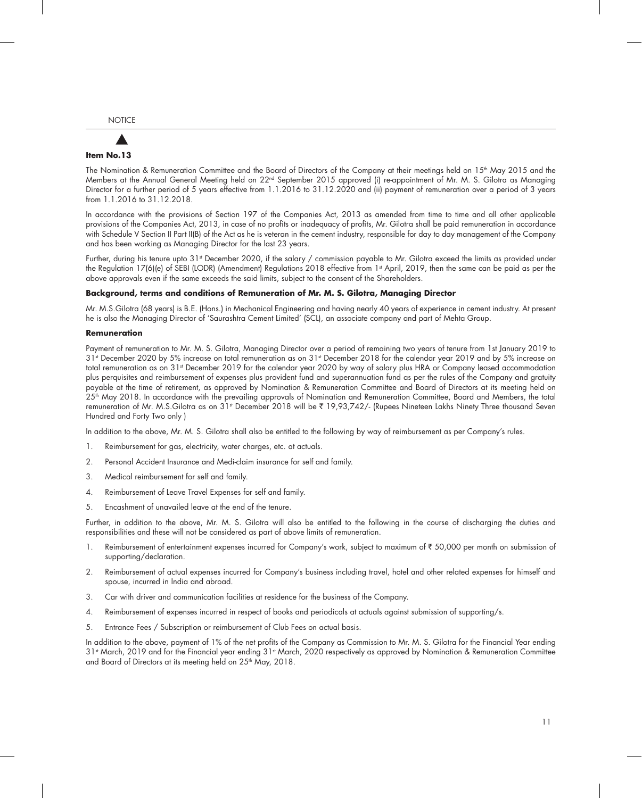# **Item No.13**

The Nomination & Remuneration Committee and the Board of Directors of the Company at their meetings held on  $15<sup>th</sup>$  May 2015 and the Members at the Annual General Meeting held on 22nd September 2015 approved (i) re-appointment of Mr. M. S. Gilotra as Managing Director for a further period of 5 years effective from 1.1.2016 to 31.12.2020 and (ii) payment of remuneration over a period of 3 years from 1.1.2016 to 31.12.2018.

In accordance with the provisions of Section 197 of the Companies Act, 2013 as amended from time to time and all other applicable provisions of the Companies Act, 2013, in case of no profits or inadequacy of profits, Mr. Gilotra shall be paid remuneration in accordance with Schedule V Section II Part II(B) of the Act as he is veteran in the cement industry, responsible for day to day management of the Company and has been working as Managing Director for the last 23 years.

Further, during his tenure upto 31<sup>st</sup> December 2020, if the salary / commission payable to Mr. Gilotra exceed the limits as provided under the Regulation 17(6)(e) of SEBI (LODR) (Amendment) Regulations 2018 effective from 1<sup>st</sup> April, 2019, then the same can be paid as per the above approvals even if the same exceeds the said limits, subject to the consent of the Shareholders.

#### **Background, terms and conditions of Remuneration of Mr. M. S. Gilotra, Managing Director**

Mr. M.S.Gilotra (68 years) is B.E. (Hons.) in Mechanical Engineering and having nearly 40 years of experience in cement industry. At present he is also the Managing Director of 'Saurashtra Cement Limited' (SCL), an associate company and part of Mehta Group.

#### **Remuneration**

Payment of remuneration to Mr. M. S. Gilotra, Managing Director over a period of remaining two years of tenure from 1st January 2019 to 31st December 2020 by 5% increase on total remuneration as on 31st December 2018 for the calendar year 2019 and by 5% increase on total remuneration as on 31st December 2019 for the calendar year 2020 by way of salary plus HRA or Company leased accommodation plus perquisites and reimbursement of expenses plus provident fund and superannuation fund as per the rules of the Company and gratuity payable at the time of retirement, as approved by Nomination & Remuneration Committee and Board of Directors at its meeting held on 25th May 2018. In accordance with the prevailing approvals of Nomination and Remuneration Committee, Board and Members, the total remuneration of Mr. M.S.Gilotra as on 31<sup>st</sup> December 2018 will be ₹ 19,93,742/- (Rupees Nineteen Lakhs Ninety Three thousand Seven Hundred and Forty Two only )

In addition to the above, Mr. M. S. Gilotra shall also be entitled to the following by way of reimbursement as per Company's rules.

- 1. Reimbursement for gas, electricity, water charges, etc. at actuals.
- 2. Personal Accident Insurance and Medi-claim insurance for self and family.
- 3. Medical reimbursement for self and family.
- 4. Reimbursement of Leave Travel Expenses for self and family.
- 5. Encashment of unavailed leave at the end of the tenure.

Further, in addition to the above, Mr. M. S. Gilotra will also be entitled to the following in the course of discharging the duties and responsibilities and these will not be considered as part of above limits of remuneration.

- 1. Reimbursement of entertainment expenses incurred for Company's work, subject to maximum of ₹ 50,000 per month on submission of supporting/declaration.
- 2. Reimbursement of actual expenses incurred for Company's business including travel, hotel and other related expenses for himself and spouse, incurred in India and abroad.
- 3. Car with driver and communication facilities at residence for the business of the Company.
- 4. Reimbursement of expenses incurred in respect of books and periodicals at actuals against submission of supporting/s.
- 5. Entrance Fees / Subscription or reimbursement of Club Fees on actual basis.

In addition to the above, payment of 1% of the net profits of the Company as Commission to Mr. M. S. Gilotra for the Financial Year ending 31st March, 2019 and for the Financial year ending 31st March, 2020 respectively as approved by Nomination & Remuneration Committee and Board of Directors at its meeting held on 25<sup>th</sup> May, 2018.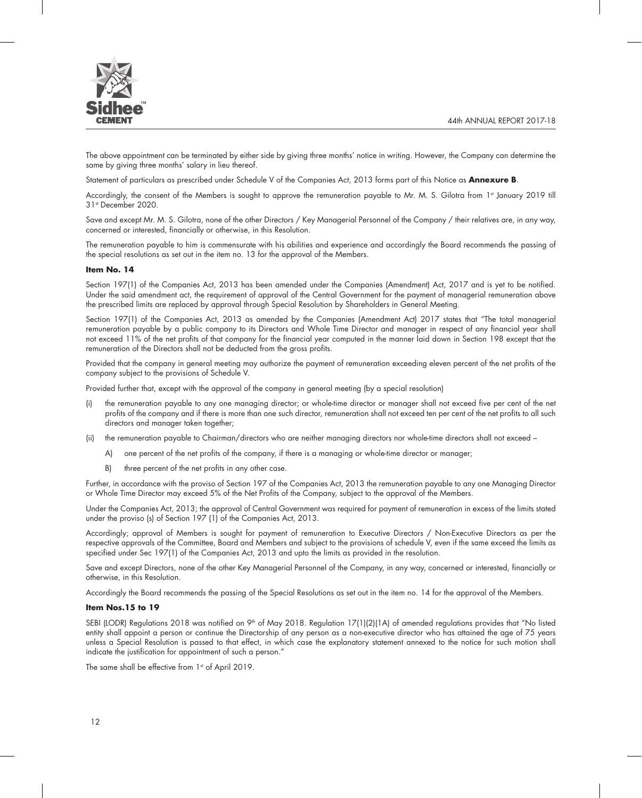

The above appointment can be terminated by either side by giving three months' notice in writing. However, the Company can determine the same by giving three months' salary in lieu thereof.

Statement of particulars as prescribed under Schedule V of the Companies Act, 2013 forms part of this Notice as **Annexure B**.

Accordingly, the consent of the Members is sought to approve the remuneration payable to Mr. M. S. Gilotra from 1st January 2019 till 31st December 2020.

Save and except Mr. M. S. Gilotra, none of the other Directors / Key Managerial Personnel of the Company / their relatives are, in any way, concerned or interested, financially or otherwise, in this Resolution.

The remuneration payable to him is commensurate with his abilities and experience and accordingly the Board recommends the passing of the special resolutions as set out in the item no. 13 for the approval of the Members.

#### **Item No. 14**

Section 197(1) of the Companies Act, 2013 has been amended under the Companies (Amendment) Act, 2017 and is yet to be notified. Under the said amendment act, the requirement of approval of the Central Government for the payment of managerial remuneration above the prescribed limits are replaced by approval through Special Resolution by Shareholders in General Meeting.

Section 197(1) of the Companies Act, 2013 as amended by the Companies (Amendment Act) 2017 states that "The total managerial remuneration payable by a public company to its Directors and Whole Time Director and manager in respect of any financial year shall not exceed 11% of the net profits of that company for the financial year computed in the manner laid down in Section 198 except that the remuneration of the Directors shall not be deducted from the gross profits.

Provided that the company in general meeting may authorize the payment of remuneration exceeding eleven percent of the net profits of the company subject to the provisions of Schedule V.

Provided further that, except with the approval of the company in general meeting (by a special resolution)

- (i) the remuneration payable to any one managing director; or whole-time director or manager shall not exceed five per cent of the net profits of the company and if there is more than one such director, remuneration shall not exceed ten per cent of the net profits to all such directors and manager taken together;
- (ii) the remuneration payable to Chairman/directors who are neither managing directors nor whole-time directors shall not exceed
	- A) one percent of the net profits of the company, if there is a managing or whole-time director or manager;
	- B) three percent of the net profits in any other case.

Further, in accordance with the proviso of Section 197 of the Companies Act, 2013 the remuneration payable to any one Managing Director or Whole Time Director may exceed 5% of the Net Profits of the Company, subject to the approval of the Members.

Under the Companies Act, 2013; the approval of Central Government was required for payment of remuneration in excess of the limits stated under the proviso (s) of Section 197 (1) of the Companies Act, 2013.

Accordingly; approval of Members is sought for payment of remuneration to Executive Directors / Non-Executive Directors as per the respective approvals of the Committee, Board and Members and subject to the provisions of schedule V, even if the same exceed the limits as specified under Sec 197(1) of the Companies Act, 2013 and upto the limits as provided in the resolution.

Save and except Directors, none of the other Key Managerial Personnel of the Company, in any way, concerned or interested, financially or otherwise, in this Resolution.

Accordingly the Board recommends the passing of the Special Resolutions as set out in the item no. 14 for the approval of the Members.

#### **Item Nos.15 to 19**

SEBI (LODR) Regulations 2018 was notified on  $9<sup>th</sup>$  of May 2018. Regulation 17(1)(2)(1A) of amended regulations provides that "No listed entity shall appoint a person or continue the Directorship of any person as a non-executive director who has attained the age of 75 years unless a Special Resolution is passed to that effect, in which case the explanatory statement annexed to the notice for such motion shall indicate the justification for appointment of such a person."

The same shall be effective from 1st of April 2019.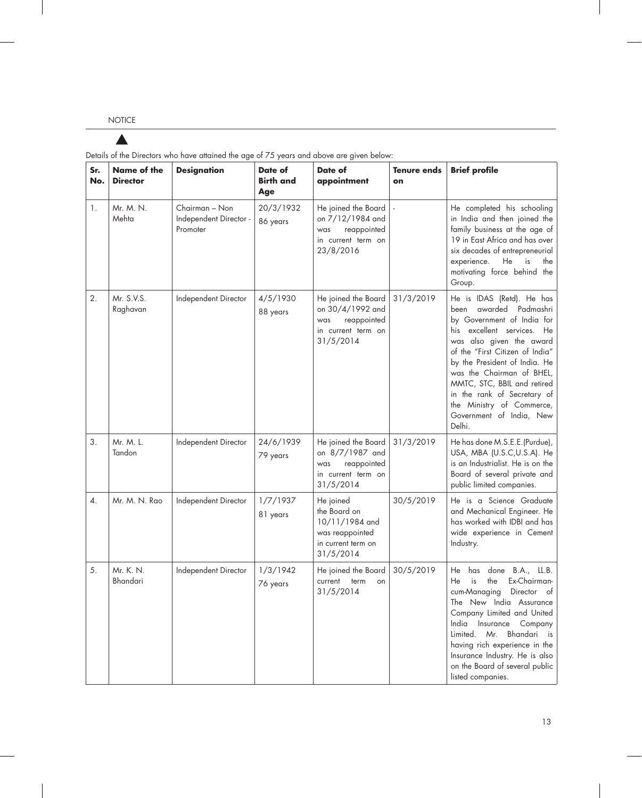## $\blacktriangle$

| Sr.<br>No. | Name of the<br><b>Director</b> | <b>Designation</b>                                   | Date of<br><b>Birth and</b><br>Age | Date of<br>appointment                                                                            | <b>Tenure ends</b><br>on | <b>Brief profile</b>                                                                                                                                                                                                                                                                                                                                                                      |
|------------|--------------------------------|------------------------------------------------------|------------------------------------|---------------------------------------------------------------------------------------------------|--------------------------|-------------------------------------------------------------------------------------------------------------------------------------------------------------------------------------------------------------------------------------------------------------------------------------------------------------------------------------------------------------------------------------------|
| 1.         | Mr. M. N.<br>Mehta             | Chairman - Non<br>Independent Director -<br>Promoter | 20/3/1932<br>86 years              | He joined the Board<br>on 7/12/1984 and<br>reappointed<br>was<br>in current term on<br>23/8/2016  |                          | He completed his schooling<br>in India and then joined the<br>family business at the age of<br>19 in East Africa and has over<br>six decades of entrepreneurial<br>experience.<br>He<br>is<br>the<br>motivating force behind the<br>Group.                                                                                                                                                |
| 2.         | Mr. S.V.S.<br>Raghavan         | Independent Director                                 | 4/5/1930<br>88 years               | He joined the Board<br>on 30/4/1992 and<br>reappointed<br>was<br>in current term on<br>31/5/2014  | 31/3/2019                | He is IDAS (Retd). He has<br>awarded<br>Padmashri<br>been<br>by Government of India for<br>excellent services.<br>He<br>his<br>was also given the award<br>of the "First Citizen of India"<br>by the President of India. He<br>was the Chairman of BHEL,<br>MMTC, STC, BBIL and retired<br>in the rank of Secretary of<br>the Ministry of Commerce,<br>Government of India, New<br>Delhi. |
| 3.         | Mr. M. L.<br>Tandon            | Independent Director                                 | 24/6/1939<br>79 years              | He joined the Board<br>on 8/7/1987 and<br>reappointed<br>was<br>in current term on<br>31/5/2014   | 31/3/2019                | He has done M.S.E.E.(Purdue),<br>USA, MBA (U.S.C,U.S.A). He<br>is an Industrialist. He is on the<br>Board of several private and<br>public limited companies.                                                                                                                                                                                                                             |
| 4.         | Mr. M. N. Rao                  | Independent Director                                 | 1/7/1937<br>81 years               | He joined<br>the Board on<br>10/11/1984 and<br>was reappointed<br>in current term on<br>31/5/2014 | 30/5/2019                | He is a Science Graduate<br>and Mechanical Engineer. He<br>has worked with IDBI and has<br>wide experience in Cement<br>Industry.                                                                                                                                                                                                                                                         |
| 5.         | Mr. K. N.<br>Bhandari          | Independent Director                                 | 1/3/1942<br>76 years               | He joined the Board<br>current<br>term<br>on<br>31/5/2014                                         | 30/5/2019                | has done<br>B.A., LL.B.<br>He<br>the<br>Ex-Chairman-<br>is<br>He<br>cum-Managing<br>Director of<br>The New India Assurance<br>Company Limited and United<br>India<br>Insurance<br>Company<br>Bhandari is<br>limited Mr<br>having rich experience in the<br>Insurance Industry. He is also<br>on the Board of several public<br>listed companies.                                          |

Details of the Directors who have attained the age of 75 years and above are given below: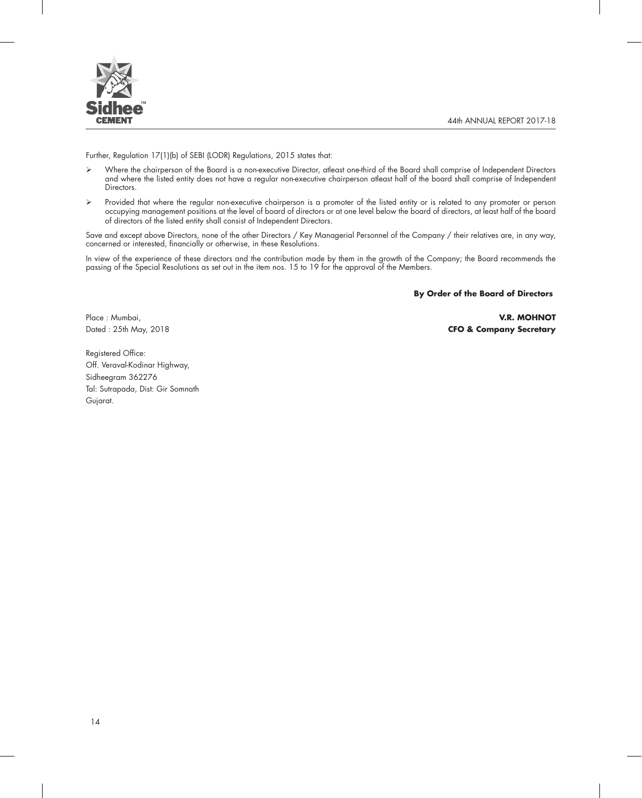

Further, Regulation 17(1)(b) of SEBI (LODR) Regulations, 2015 states that:

- Where the chairperson of the Board is a non-executive Director, atleast one-third of the Board shall comprise of Independent Directors and where the listed entity does not have a regular non-executive chairperson atleast half of the board shall comprise of Independent Directors.
- Provided that where the regular non-executive chairperson is a promoter of the listed entity or is related to any promoter or person occupying management positions at the level of board of directors or at one level below the board of directors, at least half of the board of directors of the listed entity shall consist of Independent Directors.

Save and except above Directors, none of the other Directors / Key Managerial Personnel of the Company / their relatives are, in any way, concerned or interested, financially or otherwise, in these Resolutions.

In view of the experience of these directors and the contribution made by them in the growth of the Company; the Board recommends the passing of the Special Resolutions as set out in the item nos. 15 to 19 for the approval of the Members.

**By Order of the Board of Directors**

Place : Mumbai, **V.R. MOHNOT** Dated : 25th May, 2018 **CFO & Company Secretary**

Registered Office: Off. Veraval-Kodinar Highway, Sidheegram 362276 Tal: Sutrapada, Dist: Gir Somnath Gujarat.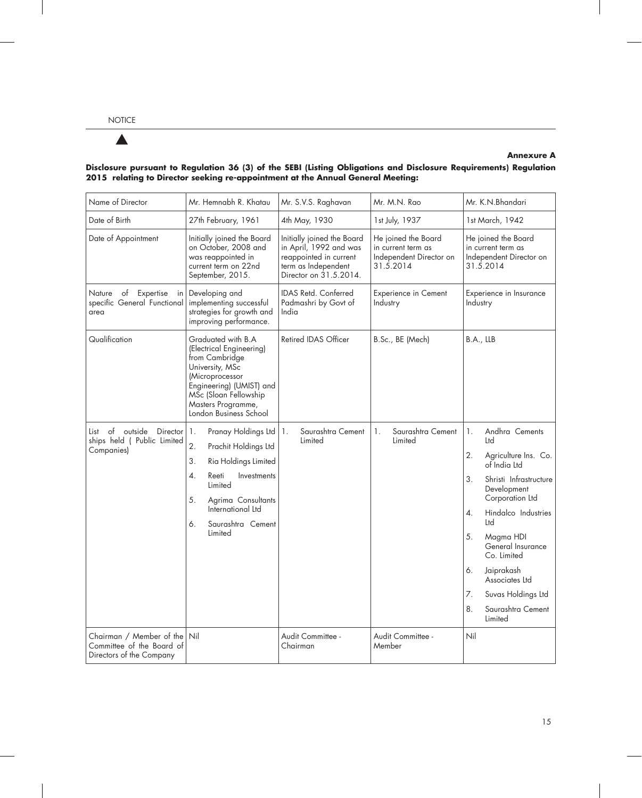### $\blacktriangle$

### **Annexure A**

| Name of Director<br>Mr. Hemnabh R. Khatau                                                                                                   |                                                                                                                                                                                                                                     | Mr. S.V.S. Raghavan<br>Mr. M.N. Rao                                                                                             |                                                                                                                                                                        | Mr. K.N.Bhandari                                                                                                                                                                                                                                                                                                                               |  |
|---------------------------------------------------------------------------------------------------------------------------------------------|-------------------------------------------------------------------------------------------------------------------------------------------------------------------------------------------------------------------------------------|---------------------------------------------------------------------------------------------------------------------------------|------------------------------------------------------------------------------------------------------------------------------------------------------------------------|------------------------------------------------------------------------------------------------------------------------------------------------------------------------------------------------------------------------------------------------------------------------------------------------------------------------------------------------|--|
| Date of Birth                                                                                                                               | 27th February, 1961                                                                                                                                                                                                                 |                                                                                                                                 | 1st July, 1937                                                                                                                                                         | 1st March, 1942                                                                                                                                                                                                                                                                                                                                |  |
| Date of Appointment<br>Initially joined the Board<br>on October, 2008 and<br>was reappointed in<br>current term on 22nd<br>September, 2015. |                                                                                                                                                                                                                                     | Initially joined the Board<br>in April, 1992 and was<br>reappointed in current<br>term as Independent<br>Director on 31.5.2014. | He joined the Board<br>He joined the Board<br>in current term as<br>in current term as<br>Independent Director on<br>Independent Director on<br>31.5.2014<br>31.5.2014 |                                                                                                                                                                                                                                                                                                                                                |  |
| Nature of Expertise in<br>specific General Functional<br>area                                                                               | Developing and<br>implementing successful<br>strategies for growth and<br>improving performance.                                                                                                                                    | IDAS Retd. Conferred<br>Padmashri by Govt of<br>India                                                                           | <b>Experience in Cement</b><br>Industry                                                                                                                                | Experience in Insurance<br>Industry                                                                                                                                                                                                                                                                                                            |  |
| Qualification                                                                                                                               | Graduated with B.A<br>(Electrical Engineering)<br>from Cambridge<br>University, MSc<br>(Microprocessor<br>Engineering) (UMIST) and<br>MSc (Sloan Fellowship<br>Masters Programme,<br>London Business School                         | Retired IDAS Officer                                                                                                            | B.Sc., BE (Mech)                                                                                                                                                       | B.A., LLB                                                                                                                                                                                                                                                                                                                                      |  |
| List of outside<br><b>Director</b><br>ships held (Public Limited<br>Companies)                                                              | 1.<br>Pranay Holdings Ltd<br>$\overline{2}$ .<br>Prachit Holdings Ltd<br>3.<br>Ria Holdings Limited<br>4.<br>Investments<br>Reeti<br>Limited<br>5.<br>Agrima Consultants<br>International Ltd<br>Saurashtra Cement<br>6.<br>Limited | Saurashtra Cement<br>1.<br>Limited                                                                                              | Saurashtra Cement<br>1.<br>Limited                                                                                                                                     | Andhra Cements<br>1.<br>Ltd<br>2.<br>Agriculture Ins. Co.<br>of India Ltd<br>Shristi Infrastructure<br>3.<br>Development<br>Corporation Ltd<br>Hindalco Industries<br>4.<br>Ltd<br>5.<br>Magma HDI<br>General Insurance<br>Co. Limited<br>Jaiprakash<br>6.<br>Associates Ltd<br>7.<br>Suvas Holdings Ltd<br>Saurashtra Cement<br>8.<br>Limited |  |
| Chairman / Member of the<br>Committee of the Board of<br>Directors of the Company                                                           | Nil                                                                                                                                                                                                                                 | Audit Committee -<br>Chairman                                                                                                   | Audit Committee -<br>Member                                                                                                                                            | Nil                                                                                                                                                                                                                                                                                                                                            |  |

#### **Disclosure pursuant to Regulation 36 (3) of the SEBI (Listing Obligations and Disclosure Requirements) Regulation 2015 relating to Director seeking re-appointment at the Annual General Meeting:**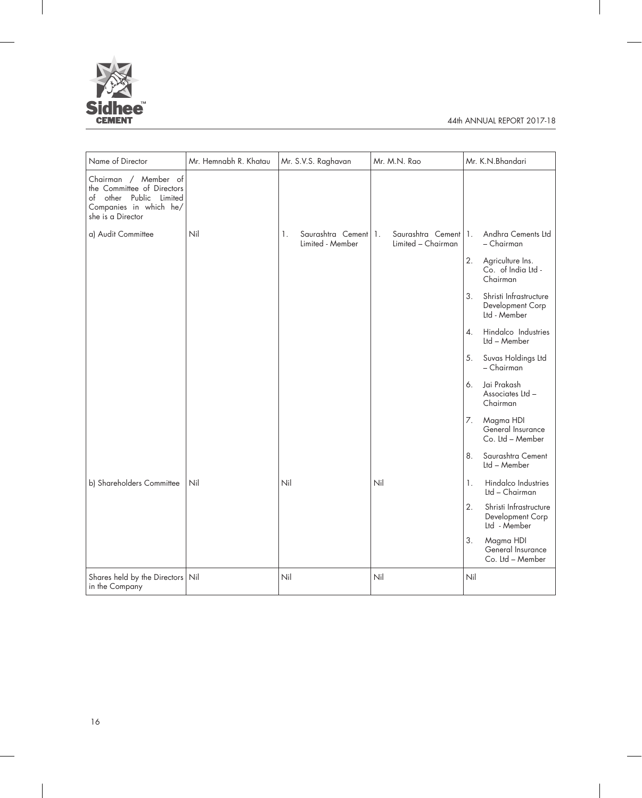

| Name of Director                                                                                                                | Mr. Hemnabh R. Khatau | Mr. S.V.S. Raghavan                            | Mr. M.N. Rao                            | Mr. K.N.Bhandari                                                 |
|---------------------------------------------------------------------------------------------------------------------------------|-----------------------|------------------------------------------------|-----------------------------------------|------------------------------------------------------------------|
| Chairman / Member of<br>the Committee of Directors<br>other Public Limited<br>of<br>Companies in which he/<br>she is a Director |                       |                                                |                                         |                                                                  |
| a) Audit Committee                                                                                                              | Nil                   | Saurashtra Cement 1.<br>1.<br>Limited - Member | Saurashtra Cement<br>Limited - Chairman | Andhra Cements Ltd<br>$\mathbf{1}$<br>- Chairman                 |
|                                                                                                                                 |                       |                                                |                                         | 2.<br>Agriculture Ins.<br>Co. of India Ltd -<br>Chairman         |
|                                                                                                                                 |                       |                                                |                                         | Shristi Infrastructure<br>3.<br>Development Corp<br>Ltd - Member |
|                                                                                                                                 |                       |                                                |                                         | Hindalco Industries<br>4.<br>Ltd - Member                        |
|                                                                                                                                 |                       |                                                |                                         | Suvas Holdings Ltd<br>5.<br>- Chairman                           |
|                                                                                                                                 |                       |                                                |                                         | Jai Prakash<br>6.<br>Associates Ltd -<br>Chairman                |
|                                                                                                                                 |                       |                                                |                                         | 7.<br>Magma HDI<br>General Insurance<br>Co. Ltd - Member         |
|                                                                                                                                 |                       |                                                |                                         | Saurashtra Cement<br>8.<br>Ltd - Member                          |
| b) Shareholders Committee                                                                                                       | Nil                   | Nil                                            | Nil                                     | Hindalco Industries<br>1.<br>Ltd - Chairman                      |
|                                                                                                                                 |                       |                                                |                                         | 2.<br>Shristi Infrastructure<br>Development Corp<br>Ltd - Member |
|                                                                                                                                 |                       |                                                |                                         | Magma HDI<br>3.<br>General Insurance<br>Co. Ltd - Member         |
| Shares held by the Directors Nil<br>in the Company                                                                              |                       | Nil                                            | Nil                                     | Nil                                                              |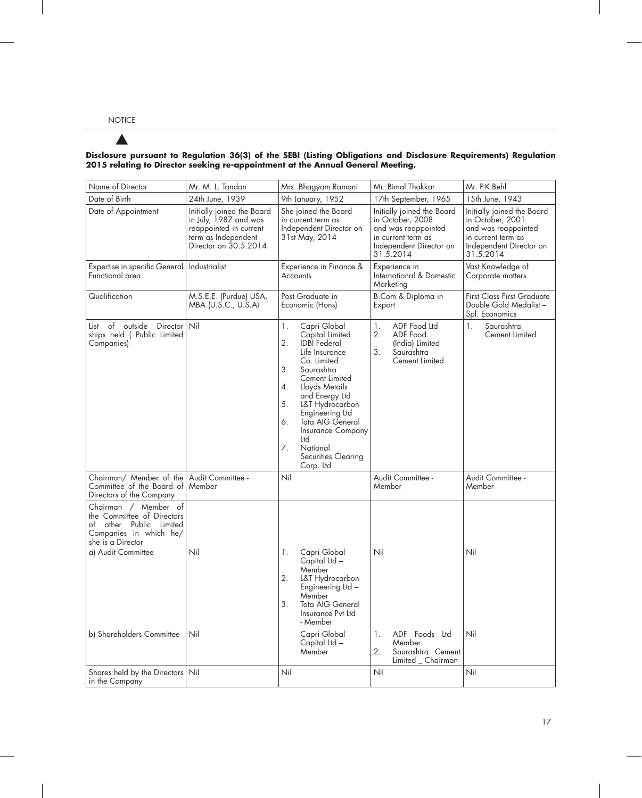## $\blacktriangle$

#### **Disclosure pursuant to Regulation 36(3) of the SEBI (Listing Obligations and Disclosure Requirements) Regulation 2015 relating to Director seeking re-appointment at the Annual General Meeting.**

| Name of Director                                                                                                                                                                      | Mr. M. L. Tandon                                                                                                              | Mrs. Bhagyam Ramani                                                                                                                                                                                                                                                                                                                         | Mr. Bimal Thakkar                                                                                                                   | Mr. P.K.Behl                                                                                                                        |
|---------------------------------------------------------------------------------------------------------------------------------------------------------------------------------------|-------------------------------------------------------------------------------------------------------------------------------|---------------------------------------------------------------------------------------------------------------------------------------------------------------------------------------------------------------------------------------------------------------------------------------------------------------------------------------------|-------------------------------------------------------------------------------------------------------------------------------------|-------------------------------------------------------------------------------------------------------------------------------------|
| Date of Birth                                                                                                                                                                         | 24th June, 1939                                                                                                               | 9th January, 1952                                                                                                                                                                                                                                                                                                                           | 17th September, 1965                                                                                                                | 15th June, 1943                                                                                                                     |
| Date of Appointment                                                                                                                                                                   | Initially joined the Board<br>in July, 1987 and was<br>reappointed in current<br>term as Independent<br>Director on 30.5.2014 | She joined the Board<br>in current term as<br>Independent Director on<br>31st May, 2014                                                                                                                                                                                                                                                     | Initially joined the Board<br>in October, 2008<br>and was reappointed<br>in current term as<br>Independent Director on<br>31.5.2014 | Initially joined the Board<br>in October, 2001<br>and was reappointed<br>in current term as<br>Independent Director on<br>31.5.2014 |
| Expertise in specific General<br>Functional area                                                                                                                                      | Industrialist                                                                                                                 | Experience in Finance &<br>Accounts                                                                                                                                                                                                                                                                                                         | Experience in<br>International & Domestic<br>Marketing                                                                              | Vast Knowledge of<br>Corporate matters                                                                                              |
| Qualification                                                                                                                                                                         | M.S.E.E. (Purdue) USA,<br>MBA (U.S.C., U.S.A)                                                                                 | Post Graduate in<br>Economic (Hons)                                                                                                                                                                                                                                                                                                         | B.Com & Diploma in<br>Export                                                                                                        | <b>First Class First Graduate</b><br>Double Gold Medalist –<br>Spl. Economics                                                       |
| List of<br>outside<br>Director<br>ships held (Public Limited<br>Companies)                                                                                                            | Nil                                                                                                                           | 1.<br>Capri Global<br>Capital Limited<br>2.<br><b>IDBI</b> Federal<br>Life Insurance<br>Co. Limited<br>3.<br>Saurashtra<br>Cement Limited<br>4.<br>Lloyds Metails<br>and Energy Ltd<br>5.<br>L&T Hydrocarbon<br>Engineering Ltd<br>6.<br>Tata AIG General<br>Insurance Company<br>Ltd<br>7.<br>National<br>Securities Clearing<br>Corp. Ltd | ADF Food Ltd<br>1.<br>2.<br>ADF Food<br>(India) Limited<br>3.<br>Saurashtra<br>Cement Limited                                       | 1.<br>Saurashtra<br>Cement Limited                                                                                                  |
| Chairman/ Member of the<br>Committee of the Board of<br>Directors of the Company                                                                                                      | Audit Committee -<br>Member                                                                                                   | Nil                                                                                                                                                                                                                                                                                                                                         | Audit Committee -<br>Member                                                                                                         | Audit Committee -<br>Member                                                                                                         |
| Chairman /<br>Member of<br>the Committee of Directors<br>other Public Limited<br>of<br>Companies in which he/<br>she is a Director<br>a) Audit Committee<br>b) Shareholders Committee | Nil<br>Nil                                                                                                                    | 1.<br>Capri Global<br>Capital Ltd -<br>Member<br>2.<br>L&T Hydrocarbon<br>Engineering Ltd -<br>Member<br>3.<br>Tata AIG General<br>Insurance Pvt Ltd<br>- Member<br>Capri Global<br>Capital Ltd -<br>Member                                                                                                                                 | Nil<br>ADF Foods Ltd -<br>1.<br>Member<br>2.<br>Saurashtra Cement<br>Limited _ Chairman                                             | Nil<br>Nil                                                                                                                          |
| Shares held by the Directors Nil<br>in the Company                                                                                                                                    |                                                                                                                               | Nil                                                                                                                                                                                                                                                                                                                                         | Nil                                                                                                                                 | Nil                                                                                                                                 |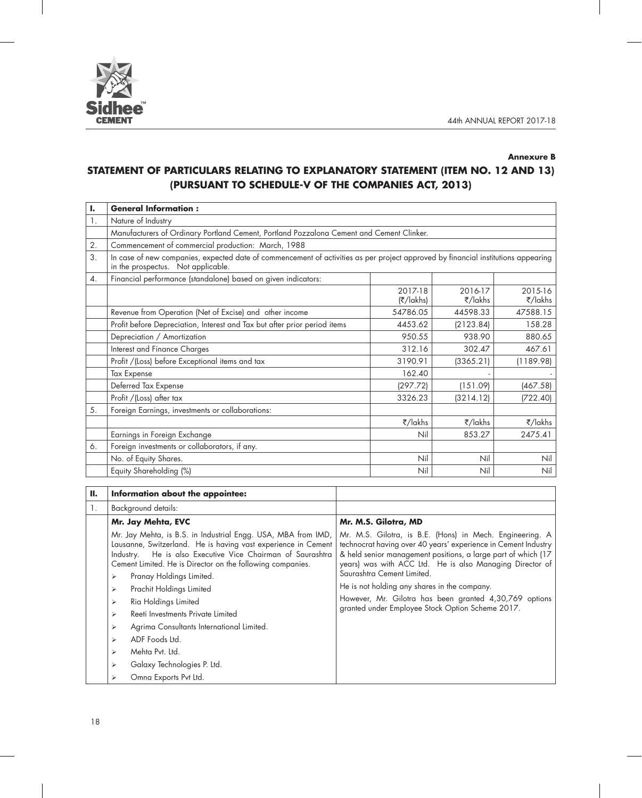



#### **Annexure B**

## **STATEMENT OF PARTICULARS RELATING TO EXPLANATORY STATEMENT (ITEM NO. 12 AND 13) (PURSUANT TO SCHEDULE-V OF THE COMPANIES ACT, 2013)**

| ı. | <b>General Information:</b>                                                                                                                                             |                      |                    |                    |  |
|----|-------------------------------------------------------------------------------------------------------------------------------------------------------------------------|----------------------|--------------------|--------------------|--|
| 1. | Nature of Industry                                                                                                                                                      |                      |                    |                    |  |
|    | Manufacturers of Ordinary Portland Cement, Portland Pozzalona Cement and Cement Clinker.                                                                                |                      |                    |                    |  |
| 2. | Commencement of commercial production: March, 1988                                                                                                                      |                      |                    |                    |  |
| 3. | In case of new companies, expected date of commencement of activities as per project approved by financial institutions appearing<br>in the prospectus. Not applicable. |                      |                    |                    |  |
| 4. | Financial performance (standalone) based on given indicators:                                                                                                           |                      |                    |                    |  |
|    |                                                                                                                                                                         | 2017-18<br>(₹/lakhs) | 2016-17<br>₹/lakhs | 2015-16<br>₹/lakhs |  |
|    | Revenue from Operation (Net of Excise) and other income                                                                                                                 | 54786.05             | 44598.33           | 47588.15           |  |
|    | Profit before Depreciation, Interest and Tax but after prior period items                                                                                               | 4453.62              | (2123.84)          | 158.28             |  |
|    | Depreciation / Amortization                                                                                                                                             | 950.55               | 938.90             | 880.65             |  |
|    | Interest and Finance Charges                                                                                                                                            | 312.16               | 302.47             | 467.61             |  |
|    | Profit / (Loss) before Exceptional items and tax                                                                                                                        | 3190.91              | (3365.21)          | (1189.98)          |  |
|    | <b>Tax Expense</b>                                                                                                                                                      | 162.40               |                    |                    |  |
|    | Deferred Tax Expense                                                                                                                                                    | (297.72)             | (151.09)           | (467.58)           |  |
|    | Profit / (Loss) after tax                                                                                                                                               | 3326.23              | (3214.12)          | (722.40)           |  |
| 5. | Foreign Earnings, investments or collaborations:                                                                                                                        |                      |                    |                    |  |
|    |                                                                                                                                                                         | ₹/lakhs              | ₹/lakhs            | ₹/lakhs            |  |
|    | Earnings in Foreign Exchange                                                                                                                                            | Nil                  | 853.27             | 2475.41            |  |
| 6. | Foreign investments or collaborators, if any.                                                                                                                           |                      |                    |                    |  |
|    | No. of Equity Shares.                                                                                                                                                   | Nil                  | Nil                | Nil                |  |
|    | Equity Shareholding (%)                                                                                                                                                 | Nil                  | Nil                | Nil                |  |

| П. | Information about the appointee:                                                                                                                                                                                                                                                                                                                                                                                                                                                                                                                                          |                                                                                                                                                                                                                                                                                                                                                                                                                                                     |
|----|---------------------------------------------------------------------------------------------------------------------------------------------------------------------------------------------------------------------------------------------------------------------------------------------------------------------------------------------------------------------------------------------------------------------------------------------------------------------------------------------------------------------------------------------------------------------------|-----------------------------------------------------------------------------------------------------------------------------------------------------------------------------------------------------------------------------------------------------------------------------------------------------------------------------------------------------------------------------------------------------------------------------------------------------|
| Ι. | Background details:                                                                                                                                                                                                                                                                                                                                                                                                                                                                                                                                                       |                                                                                                                                                                                                                                                                                                                                                                                                                                                     |
|    | Mr. Jay Mehta, EVC                                                                                                                                                                                                                                                                                                                                                                                                                                                                                                                                                        | Mr. M.S. Gilotra, MD                                                                                                                                                                                                                                                                                                                                                                                                                                |
|    | Mr. Jay Mehta, is B.S. in Industrial Engg. USA, MBA from IMD,<br>Lausanne, Switzerland. He is having vast experience in Cement<br>He is also Executive Vice Chairman of Saurashtra<br>Industry.<br>Cement Limited. He is Director on the following companies.<br>Pranay Holdings Limited.<br>⋗<br>Prachit Holdings Limited<br>⋗<br>Ria Holdings Limited<br>⋗<br>Reeti Investments Private Limited<br>⋗<br>Agrima Consultants International Limited.<br>⋗<br>ADF Foods Ltd.<br>⋗<br>Mehta Pvt. Ltd.<br>⋗<br>Galaxy Technologies P. Ltd.<br>⋗<br>Omna Exports Pvt Ltd.<br>⋗ | Mr. M.S. Gilotra, is B.E. (Hons) in Mech. Engineering. A<br>technocrat having over 40 years' experience in Cement Industry<br>& held senior management positions, a large part of which (17<br>years) was with ACC Ltd. He is also Managing Director of<br>Saurashtra Cement Limited.<br>He is not holding any shares in the company.<br>However, Mr. Gilotra has been granted 4,30,769 options<br>granted under Employee Stock Option Scheme 2017. |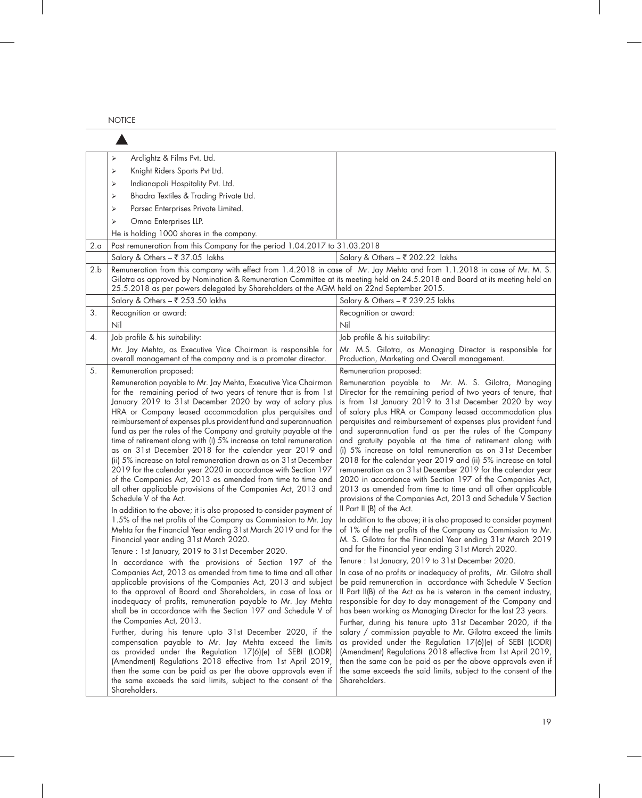NOTICE

|     | Arclightz & Films Pvt. Ltd.<br>⋗                                                                                                   |                                                                                                                                   |
|-----|------------------------------------------------------------------------------------------------------------------------------------|-----------------------------------------------------------------------------------------------------------------------------------|
|     | Knight Riders Sports Pvt Ltd.<br>⋗                                                                                                 |                                                                                                                                   |
|     | Indianapoli Hospitality Pvt. Ltd.<br>⋗                                                                                             |                                                                                                                                   |
|     | Bhadra Textiles & Trading Private Ltd.<br>⋗                                                                                        |                                                                                                                                   |
|     | Parsec Enterprises Private Limited.<br>⋗                                                                                           |                                                                                                                                   |
|     | Omna Enterprises LLP.<br>$\triangleright$                                                                                          |                                                                                                                                   |
|     | He is holding 1000 shares in the company.                                                                                          |                                                                                                                                   |
| 2.a | Past remuneration from this Company for the period 1.04.2017 to 31.03.2018                                                         |                                                                                                                                   |
|     | Salary & Others - ₹ 37.05 lakhs                                                                                                    | Salary & Others – ₹ 202.22 lakhs                                                                                                  |
| 2.b | Remuneration from this company with effect from 1.4.2018 in case of Mr. Jay Mehta and from 1.1.2018 in case of Mr. M. S.           |                                                                                                                                   |
|     | Gilotra as approved by Nomination & Remuneration Committee at its meeting held on 24.5.2018 and Board at its meeting held on       |                                                                                                                                   |
|     | 25.5.2018 as per powers delegated by Shareholders at the AGM held on 22nd September 2015.                                          |                                                                                                                                   |
|     | Salary & Others - ₹ 253.50 lakhs                                                                                                   | Salary & Others - ₹ 239.25 lakhs                                                                                                  |
| 3.  | Recognition or award:<br>Nil                                                                                                       | Recognition or award:<br>Nil                                                                                                      |
| 4.  | Job profile & his suitability:                                                                                                     | Job profile & his suitability:                                                                                                    |
|     | Mr. Jay Mehta, as Executive Vice Chairman is responsible for                                                                       | Mr. M.S. Gilotra, as Managing Director is responsible for                                                                         |
|     | overall management of the company and is a promoter director.                                                                      | Production, Marketing and Overall management.                                                                                     |
| 5.  | Remuneration proposed:                                                                                                             | Remuneration proposed:                                                                                                            |
|     | Remuneration payable to Mr. Jay Mehta, Executive Vice Chairman                                                                     | Remuneration payable to Mr. M. S. Gilotra, Managing                                                                               |
|     | for the remaining period of two years of tenure that is from 1st                                                                   | Director for the remaining period of two years of tenure, that                                                                    |
|     | January 2019 to 31st December 2020 by way of salary plus                                                                           | is from 1st January 2019 to 31st December 2020 by way                                                                             |
|     | HRA or Company leased accommodation plus perquisites and<br>reimbursement of expenses plus provident fund and superannuation       | of salary plus HRA or Company leased accommodation plus<br>perquisites and reimbursement of expenses plus provident fund          |
|     | fund as per the rules of the Company and gratuity payable at the                                                                   | and superannuation fund as per the rules of the Company                                                                           |
|     | time of retirement along with (i) 5% increase on total remuneration                                                                | and gratuity payable at the time of retirement along with                                                                         |
|     | as on 31st December 2018 for the calendar year 2019 and                                                                            | (i) 5% increase on total remuneration as on 31st December                                                                         |
|     | (ii) 5% increase on total remuneration drawn as on 31st December<br>2019 for the calendar year 2020 in accordance with Section 197 | 2018 for the calendar year 2019 and (ii) 5% increase on total<br>remuneration as on 31st December 2019 for the calendar year      |
|     | of the Companies Act, 2013 as amended from time to time and                                                                        | 2020 in accordance with Section 197 of the Companies Act,                                                                         |
|     | all other applicable provisions of the Companies Act, 2013 and                                                                     | 2013 as amended from time to time and all other applicable                                                                        |
|     | Schedule V of the Act.                                                                                                             | provisions of the Companies Act, 2013 and Schedule V Section                                                                      |
|     | In addition to the above; it is also proposed to consider payment of                                                               | Il Part II (B) of the Act.                                                                                                        |
|     | 1.5% of the net profits of the Company as Commission to Mr. Jay<br>Mehta for the Financial Year ending 31st March 2019 and for the | In addition to the above; it is also proposed to consider payment<br>of 1% of the net profits of the Company as Commission to Mr. |
|     | Financial year ending 31st March 2020.                                                                                             | M. S. Gilotra for the Financial Year ending 31st March 2019                                                                       |
|     | Tenure: 1st January, 2019 to 31st December 2020.                                                                                   | and for the Financial year ending 31st March 2020.                                                                                |
|     | In accordance with the provisions of Section 197 of the                                                                            | Tenure: 1st January, 2019 to 31st December 2020.                                                                                  |
|     | Companies Act, 2013 as amended from time to time and all other                                                                     | In case of no profits or inadequacy of profits, Mr. Gilotra shall                                                                 |
|     | applicable provisions of the Companies Act, 2013 and subject<br>to the approval of Board and Shareholders, in case of loss or      | be paid remuneration in accordance with Schedule V Section                                                                        |
|     | inadequacy of profits, remuneration payable to Mr. Jay Mehta                                                                       | Il Part II(B) of the Act as he is veteran in the cement industry,<br>responsible for day to day management of the Company and     |
|     | shall be in accordance with the Section 197 and Schedule V of                                                                      | has been working as Managing Director for the last 23 years.                                                                      |
|     | the Companies Act, 2013.                                                                                                           | Further, during his tenure upto 31st December 2020, if the                                                                        |
|     | Further, during his tenure upto 31st December 2020, if the                                                                         | salary / commission payable to Mr. Gilotra exceed the limits                                                                      |
|     | compensation payable to Mr. Jay Mehta exceed the limits                                                                            | as provided under the Regulation 17(6)(e) of SEBI (LODR)<br>(Amendment) Regulations 2018 effective from 1st April 2019,           |
|     | as provided under the Regulation 17(6)(e) of SEBI (LODR)<br>(Amendment) Regulations 2018 effective from 1st April 2019,            | then the same can be paid as per the above approvals even if                                                                      |
|     | then the same can be paid as per the above approvals even if                                                                       | the same exceeds the said limits, subject to the consent of the                                                                   |
|     | the same exceeds the said limits, subject to the consent of the                                                                    | Shareholders.                                                                                                                     |
|     | Shareholders.                                                                                                                      |                                                                                                                                   |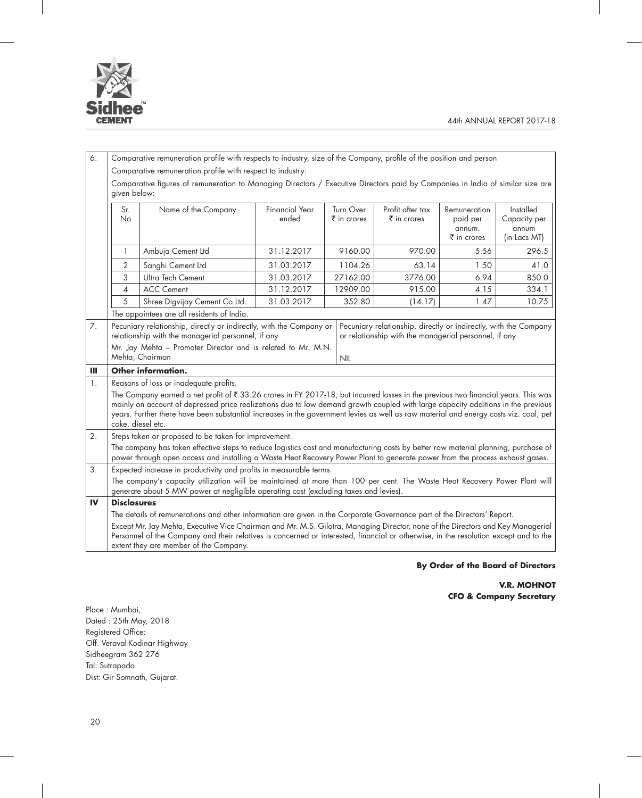

| 6.             | Comparative remuneration profile with respects to industry, size of the Company, profile of the position and person                                                                                                                                                                                                                                                                                                                      |                                                                                                                                                                                                                                                                                                                   |                                |                                         |                                                 |                                                   |                                                    |
|----------------|------------------------------------------------------------------------------------------------------------------------------------------------------------------------------------------------------------------------------------------------------------------------------------------------------------------------------------------------------------------------------------------------------------------------------------------|-------------------------------------------------------------------------------------------------------------------------------------------------------------------------------------------------------------------------------------------------------------------------------------------------------------------|--------------------------------|-----------------------------------------|-------------------------------------------------|---------------------------------------------------|----------------------------------------------------|
|                |                                                                                                                                                                                                                                                                                                                                                                                                                                          | Comparative remuneration profile with respect to industry:                                                                                                                                                                                                                                                        |                                |                                         |                                                 |                                                   |                                                    |
|                | Comparative figures of remuneration to Managing Directors / Executive Directors paid by Companies in India of similar size are<br>given below:                                                                                                                                                                                                                                                                                           |                                                                                                                                                                                                                                                                                                                   |                                |                                         |                                                 |                                                   |                                                    |
|                | Sr.<br><b>No</b>                                                                                                                                                                                                                                                                                                                                                                                                                         | Name of the Company                                                                                                                                                                                                                                                                                               | <b>Financial Year</b><br>ended | Turn Over<br>$\overline{\xi}$ in crores | Profit after tax<br>$\bar{\bar{\xi}}$ in crores | Remuneration<br>paid per<br>annum.<br>₹ in crores | Installed<br>Capacity per<br>annum<br>(in Lacs MT) |
|                | 1                                                                                                                                                                                                                                                                                                                                                                                                                                        | Ambuja Cement Ltd                                                                                                                                                                                                                                                                                                 | 31.12.2017                     | 9160.00                                 | 970.00                                          | 5.56                                              | 296.5                                              |
|                | $\overline{2}$                                                                                                                                                                                                                                                                                                                                                                                                                           | Sanghi Cement Ltd                                                                                                                                                                                                                                                                                                 | 31.03.2017                     | 1104.26                                 | 63.14                                           | 1.50                                              | 41.0                                               |
|                | 3                                                                                                                                                                                                                                                                                                                                                                                                                                        | Ultra Tech Cement                                                                                                                                                                                                                                                                                                 | 31.03.2017                     | 27162.00                                | 3776.00                                         | 6.94                                              | 850.0                                              |
|                | 4                                                                                                                                                                                                                                                                                                                                                                                                                                        | <b>ACC Cement</b>                                                                                                                                                                                                                                                                                                 | 31.12.2017                     | 12909.00                                | 915.00                                          | 4.15                                              | 334.1                                              |
|                | 5                                                                                                                                                                                                                                                                                                                                                                                                                                        | Shree Digvijay Cement Co.Ltd.                                                                                                                                                                                                                                                                                     | 31.03.2017                     | 352.80                                  | (14.17)                                         | 1.47                                              | 10.75                                              |
|                |                                                                                                                                                                                                                                                                                                                                                                                                                                          | The appointees are all residents of India.                                                                                                                                                                                                                                                                        |                                |                                         |                                                 |                                                   |                                                    |
| 7.             | Pecuniary relationship, directly or indirectly, with the Company or<br>Pecuniary relationship, directly or indirectly, with the Company<br>relationship with the managerial personnel, if any<br>or relationship with the managerial personnel, if any<br>Mr. Jay Mehta - Promoter Director and is related to Mr. M.N.                                                                                                                   |                                                                                                                                                                                                                                                                                                                   |                                |                                         |                                                 |                                                   |                                                    |
|                |                                                                                                                                                                                                                                                                                                                                                                                                                                          | Mehta, Chairman                                                                                                                                                                                                                                                                                                   | <b>NIL</b>                     |                                         |                                                 |                                                   |                                                    |
| Ш              |                                                                                                                                                                                                                                                                                                                                                                                                                                          | Other information.                                                                                                                                                                                                                                                                                                |                                |                                         |                                                 |                                                   |                                                    |
| $\mathbb{1}$ . |                                                                                                                                                                                                                                                                                                                                                                                                                                          | Reasons of loss or inadequate profits.                                                                                                                                                                                                                                                                            |                                |                                         |                                                 |                                                   |                                                    |
|                | The Company earned a net profit of $\xi$ 33.26 crores in FY 2017-18, but incurred losses in the previous two financial years. This was<br>mainly on account of depressed price realizations due to low demand growth coupled with large capacity additions in the previous<br>years. Further there have been substantial increases in the government levies as well as raw material and energy costs viz. coal, pet<br>coke, diesel etc. |                                                                                                                                                                                                                                                                                                                   |                                |                                         |                                                 |                                                   |                                                    |
| 2.             |                                                                                                                                                                                                                                                                                                                                                                                                                                          | Steps taken or proposed to be taken for improvement.                                                                                                                                                                                                                                                              |                                |                                         |                                                 |                                                   |                                                    |
|                |                                                                                                                                                                                                                                                                                                                                                                                                                                          | The company has taken effective steps to reduce logistics cost and manufacturing costs by better raw material planning, purchase of<br>power through open access and installing a Waste Heat Recovery Power Plant to generate power from the process exhaust gases.                                               |                                |                                         |                                                 |                                                   |                                                    |
| 3.             |                                                                                                                                                                                                                                                                                                                                                                                                                                          | Expected increase in productivity and profits in measurable terms.                                                                                                                                                                                                                                                |                                |                                         |                                                 |                                                   |                                                    |
|                |                                                                                                                                                                                                                                                                                                                                                                                                                                          | The company's capacity utilization will be maintained at more than 100 per cent. The Waste Heat Recovery Power Plant will<br>generate about 5 MW power at negligible operating cost (excluding taxes and levies).                                                                                                 |                                |                                         |                                                 |                                                   |                                                    |
| IV             | <b>Disclosures</b>                                                                                                                                                                                                                                                                                                                                                                                                                       |                                                                                                                                                                                                                                                                                                                   |                                |                                         |                                                 |                                                   |                                                    |
|                |                                                                                                                                                                                                                                                                                                                                                                                                                                          | The details of remunerations and other information are given in the Corporate Governance part of the Directors' Report.                                                                                                                                                                                           |                                |                                         |                                                 |                                                   |                                                    |
|                |                                                                                                                                                                                                                                                                                                                                                                                                                                          | Except Mr. Jay Mehta, Executive Vice Chairman and Mr. M.S. Gilotra, Managing Director, none of the Directors and Key Managerial<br>Personnel of the Company and their relatives is concerned or interested, financial or otherwise, in the resolution except and to the<br>extent they are member of the Company. |                                |                                         |                                                 |                                                   |                                                    |

### **By Order of the Board of Directors**

**V.R. MOHNOT CFO & Company Secretary**

Place : Mumbai, Dated : 25th May, 2018 Registered Office: Off. Veraval-Kodinar Highway Sidheegram 362 276 Tal: Sutrapada Dist: Gir Somnath, Gujarat.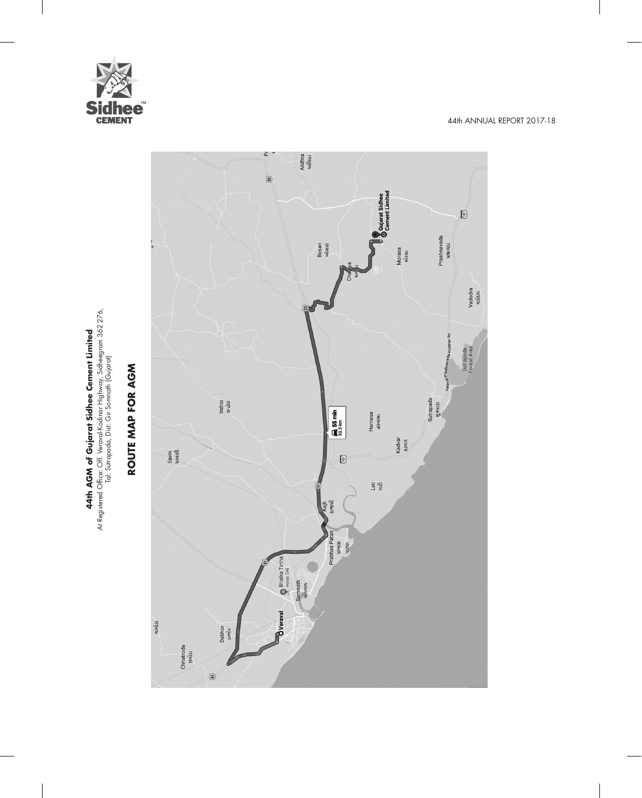

**44th AGM of Gujarat Sidhee Cement Limited** At Registered Office: Off. Veraval-Kodinar Highway, Sidheegram 362 276, Tal: Sutrapada, Dist: Gir Somnath (Gujarat)

**44th AGM of Gujarat Sidhee Cement Limited**<br>At Registered Office: Of: Veraval-Kodinar Highway, Sidheegram 362 276,<br>Tal: Sutrapada, Dist: Gir Somnath (Gujarat)

**ROUTE MAP FOR AGM**

ROUTE MAP FOR AGM

## à) Alidhra<br>અલિધ્રા  $\frac{1}{2}$ Gujarat Sidhee<br>
Gement Limited  $\textbf{E}$ Prashnavada<br>wauqsu Bosan<br>બોસણ Morasa<br><sup>4</sup>ikall Vadodra<br>«Sital ada-Kodinar Rd Sutrapada<br>Forest Area Verayal-<sup>Prashna</sup> Sutrapada<br>સુત્રપાડા Indroi<br><sub>59</sub>-265  $\left| \begin{array}{cc} \end{array} \right|$  55 min Harnasa<br>હરનાસા Kadvar<br>SSSIR Savni<br>સાવણી 0 Lati<br>etičl કાજલી Kajli Prabhas Patan **Rean**<br>Relief Bhalka Tirtha Somnath<br>સોમનાથ **B**Veraval ચામોડા Dabhor<br>steils Chhatroda<br>87  $\epsilon$  $\boxed{5}$

44th ANNUAL REPORT 2017-18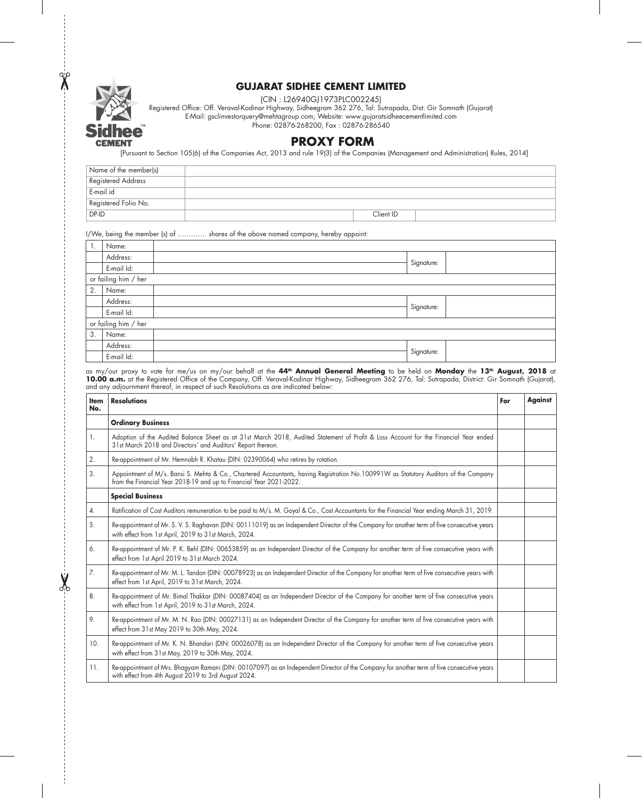

 $\frac{1}{\sqrt{2}}$ 

### **GUJARAT SIDHEE CEMENT LIMITED**

(CIN : L26940GJ1973PLC002245)

Registered Office: Off. Veraval-Kodinar Highway, Sidheegram 362 276, Tal: Sutrapada, Dist: Gir Somnath (Gujarat) E-Mail: gsclinvestorquery@mehtagroup.com; Website: www.gujaratsidheecementlimited.com

Phone: 02876-268200, Fax : 02876-286540

## **PROXY FORM**

]Pursuant to Section 105(6) of the Companies Act, 2013 and rule 19(3) of the Companies (Management and Administration) Rules, 2014[

| Name of the member(s)     |           |  |
|---------------------------|-----------|--|
| <b>Registered Address</b> |           |  |
| E-mail id                 |           |  |
| Registered Folio No.      |           |  |
| $DP-ID$                   | Client ID |  |

#### I/We, being the member (s) of …………. shares of the above named company, hereby appoint:

| 1. | Name:                |            |  |
|----|----------------------|------------|--|
|    | Address:             |            |  |
|    | E-mail Id:           | Signature: |  |
|    | or failing him / her |            |  |
| 2. | Name:                |            |  |
|    | Address:             |            |  |
|    | E-mail Id:           | Signature: |  |
|    | or failing him / her |            |  |
| 3. | Name:                |            |  |
|    | Address:             |            |  |
|    | E-mail Id:           | Signature: |  |

as my/our proxy to vote for me/us on my/our behalf at the **44th Annual General Meeting** to be held on **Monday** the **13th August, 2018** at **10.00 a.m.** at the Registered Office of the Company, Off. Veraval-Kodinar Highway, Sidheegram 362 276, Tal: Sutrapada, District: Gir Somnath (Gujarat), and any adjournment thereof, in respect of such Resolutions as are indicated below:

| <b>Item</b><br>No. | <b>Resolutions</b>                                                                                                                                                                                          | For | Against |
|--------------------|-------------------------------------------------------------------------------------------------------------------------------------------------------------------------------------------------------------|-----|---------|
|                    | <b>Ordinary Business</b>                                                                                                                                                                                    |     |         |
| 1.                 | Adoption of the Audited Balance Sheet as at 31st March 2018, Audited Statement of Profit & Loss Account for the Financial Year ended<br>31st March 2018 and Directors' and Auditors' Report thereon.        |     |         |
| 2.                 | Re-appointment of Mr. Hemnabh R. Khatau (DIN: 02390064) who retires by rotation.                                                                                                                            |     |         |
| 3.                 | Appointment of M/s. Bansi S. Mehta & Co., Chartered Accountants, having Registration No.100991W as Statutory Auditors of the Company<br>from the Financial Year 2018-19 and up to Financial Year 2021-2022. |     |         |
|                    | <b>Special Business</b>                                                                                                                                                                                     |     |         |
| 4.                 | Ratification of Cost Auditors remuneration to be paid to M/s. M. Goyal & Co., Cost Accountants for the Financial Year ending March 31, 2019.                                                                |     |         |
| 5.                 | Re-appointment of Mr. S. V. S. Raghavan (DIN: 00111019) as an Independent Director of the Company for another term of five consecutive years<br>with effect from 1st April, 2019 to 31st March, 2024.       |     |         |
| 6.                 | Re-appointment of Mr. P. K. Behl (DIN: 00653859) as an Independent Director of the Company for another term of five consecutive years with<br>effect from 1st April 2019 to 31st March 2024.                |     |         |
| 7.                 | Re-appointment of Mr. M. L. Tandon (DIN: 00078923) as an Independent Director of the Company for another term of five consecutive years with<br>effect from 1st April, 2019 to 31st March, 2024.            |     |         |
| 8.                 | Re-appointment of Mr. Bimal Thakkar (DIN: 00087404) as an Independent Director of the Company for another term of five consecutive years<br>with effect from 1st April, 2019 to 31st March, 2024.           |     |         |
| 9.                 | Re-appointment of Mr. M. N. Rao (DIN: 00027131) as an Independent Director of the Company for another term of five consecutive years with<br>effect from 31st May 2019 to 30th May, 2024.                   |     |         |
| 10.                | Re-appointment of Mr. K. N. Bhandari (DIN: 00026078) as an Independent Director of the Company for another term of five consecutive years<br>with effect from 31st May, 2019 to 30th May, 2024.             |     |         |
| 11.                | Re-appointment of Mrs. Bhagyam Ramani (DIN: 00107097) as an Independent Director of the Company for another term of five consecutive years<br>with effect from 4th August 2019 to 3rd August 2024.          |     |         |